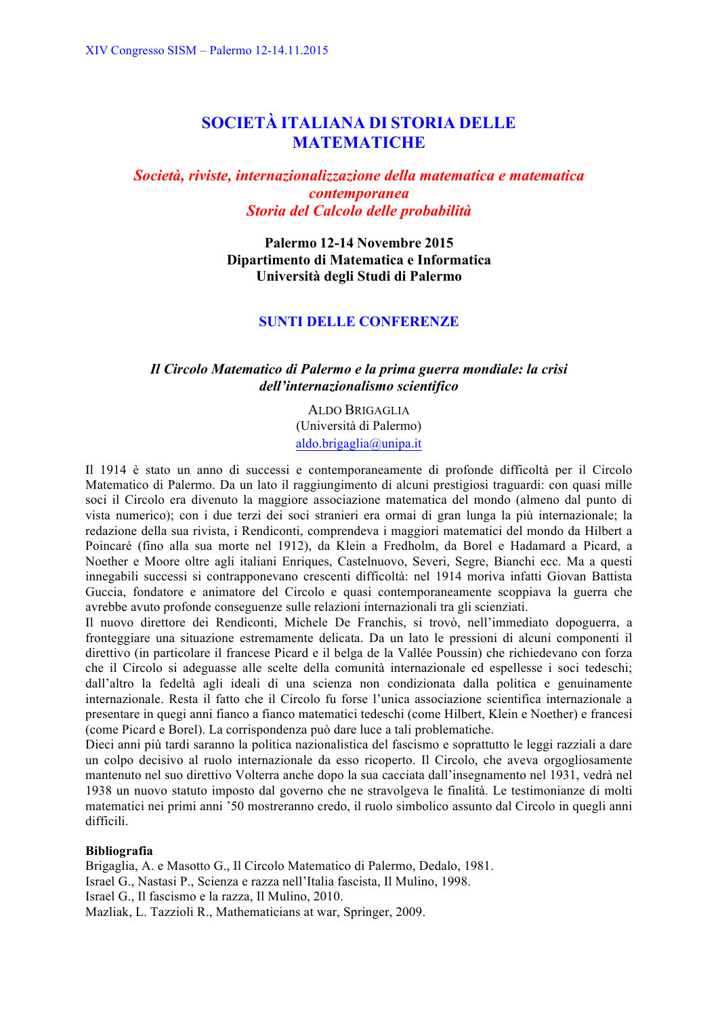# **SOCIETÀ ITALIANA DI STORIA DELLE MATEMATICHE**

# *Società, riviste, internazionalizzazione della matematica e matematica contemporanea Storia del Calcolo delle probabilità*

**Palermo 12-14 Novembre 2015 Dipartimento di Matematica e Informatica Università degli Studi di Palermo**

# **SUNTI DELLE CONFERENZE**

# *Il Circolo Matematico di Palermo e la prima guerra mondiale: la crisi dell'internazionalismo scientifico*

ALDO BRIGAGLIA (Università di Palermo) aldo.brigaglia@unipa.it

Il 1914 è stato un anno di successi e contemporaneamente di profonde difficoltà per il Circolo Matematico di Palermo. Da un lato il raggiungimento di alcuni prestigiosi traguardi: con quasi mille soci il Circolo era divenuto la maggiore associazione matematica del mondo (almeno dal punto di vista numerico); con i due terzi dei soci stranieri era ormai di gran lunga la più internazionale; la redazione della sua rivista, i Rendiconti, comprendeva i maggiori matematici del mondo da Hilbert a Poincaré (fino alla sua morte nel 1912), da Klein a Fredholm, da Borel e Hadamard a Picard, a Noether e Moore oltre agli italiani Enriques, Castelnuovo, Severi, Segre, Bianchi ecc. Ma a questi innegabili successi si contrapponevano crescenti difficoltà: nel 1914 moriva infatti Giovan Battista Guccia, fondatore e animatore del Circolo e quasi contemporaneamente scoppiava la guerra che avrebbe avuto profonde conseguenze sulle relazioni internazionali tra gli scienziati.

Il nuovo direttore dei Rendiconti, Michele De Franchis, si trovò, nell'immediato dopoguerra, a fronteggiare una situazione estremamente delicata. Da un lato le pressioni di alcuni componenti il direttivo (in particolare il francese Picard e il belga de la Vallée Poussin) che richiedevano con forza che il Circolo si adeguasse alle scelte della comunità internazionale ed espellesse i soci tedeschi; dall'altro la fedeltà agli ideali di una scienza non condizionata dalla politica e genuinamente internazionale. Resta il fatto che il Circolo fu forse l'unica associazione scientifica internazionale a presentare in quegi anni fianco a fianco matematici tedeschi (come Hilbert, Klein e Noether) e francesi (come Picard e Borel). La corrispondenza può dare luce a tali problematiche.

Dieci anni più tardi saranno la politica nazionalistica del fascismo e soprattutto le leggi razziali a dare un colpo decisivo al ruolo internazionale da esso ricoperto. Il Circolo, che aveva orgogliosamente mantenuto nel suo direttivo Volterra anche dopo la sua cacciata dall'insegnamento nel 1931, vedrà nel 1938 un nuovo statuto imposto dal governo che ne stravolgeva le finalità. Le testimonianze di molti matematici nei primi anni '50 mostreranno credo, il ruolo simbolico assunto dal Circolo in quegli anni difficili.

### **Bibliografia**

Brigaglia, A. e Masotto G., Il Circolo Matematico di Palermo, Dedalo, 1981. Israel G., Nastasi P., Scienza e razza nell'Italia fascista, Il Mulino, 1998. Israel G., Il fascismo e la razza, Il Mulino, 2010. Mazliak, L. Tazzioli R., Mathematicians at war, Springer, 2009.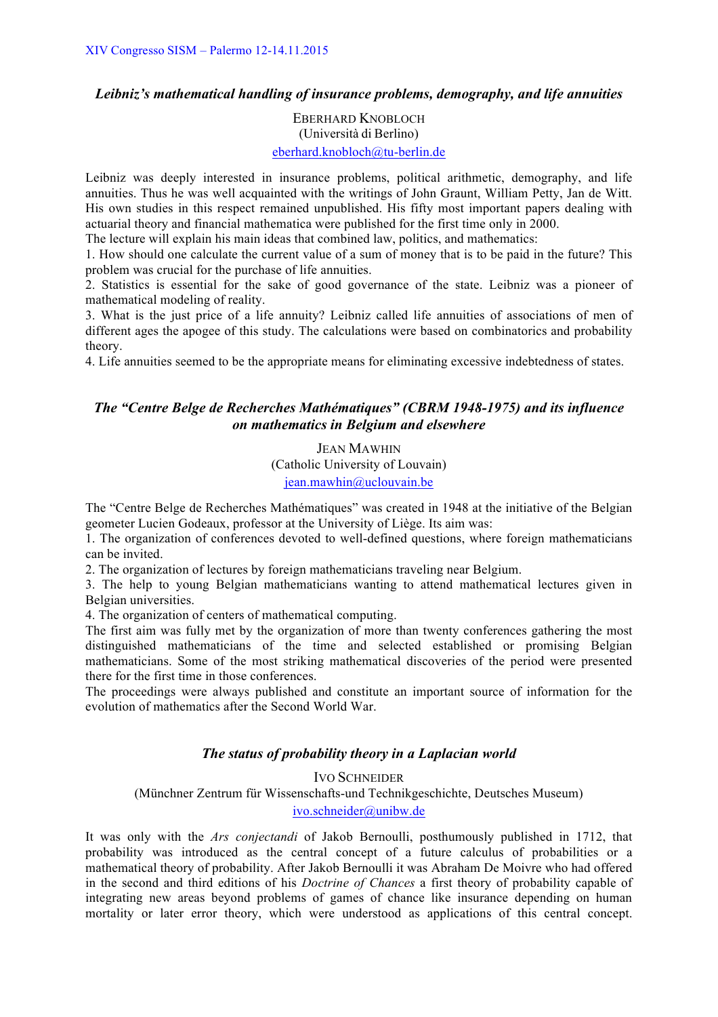# *Leibniz's mathematical handling of insurance problems, demography, and life annuities*

EBERHARD KNOBLOCH (Università di Berlino) eberhard.knobloch@tu-berlin.de

Leibniz was deeply interested in insurance problems, political arithmetic, demography, and life annuities. Thus he was well acquainted with the writings of John Graunt, William Petty, Jan de Witt. His own studies in this respect remained unpublished. His fifty most important papers dealing with actuarial theory and financial mathematica were published for the first time only in 2000.

The lecture will explain his main ideas that combined law, politics, and mathematics:

1. How should one calculate the current value of a sum of money that is to be paid in the future? This problem was crucial for the purchase of life annuities.

2. Statistics is essential for the sake of good governance of the state. Leibniz was a pioneer of mathematical modeling of reality.

3. What is the just price of a life annuity? Leibniz called life annuities of associations of men of different ages the apogee of this study. The calculations were based on combinatorics and probability theory.

4. Life annuities seemed to be the appropriate means for eliminating excessive indebtedness of states.

# *The "Centre Belge de Recherches Mathématiques" (CBRM 1948-1975) and its influence on mathematics in Belgium and elsewhere*

JEAN MAWHIN (Catholic University of Louvain) jean.mawhin@uclouvain.be

The "Centre Belge de Recherches Mathématiques" was created in 1948 at the initiative of the Belgian geometer Lucien Godeaux, professor at the University of Liège. Its aim was:

1. The organization of conferences devoted to well-defined questions, where foreign mathematicians can be invited.

2. The organization of lectures by foreign mathematicians traveling near Belgium.

3. The help to young Belgian mathematicians wanting to attend mathematical lectures given in Belgian universities.

4. The organization of centers of mathematical computing.

The first aim was fully met by the organization of more than twenty conferences gathering the most distinguished mathematicians of the time and selected established or promising Belgian mathematicians. Some of the most striking mathematical discoveries of the period were presented there for the first time in those conferences.

The proceedings were always published and constitute an important source of information for the evolution of mathematics after the Second World War.

# *The status of probability theory in a Laplacian world*

IVO SCHNEIDER (Münchner Zentrum für Wissenschafts-und Technikgeschichte, Deutsches Museum) ivo.schneider@unibw.de

It was only with the *Ars conjectandi* of Jakob Bernoulli, posthumously published in 1712, that probability was introduced as the central concept of a future calculus of probabilities or a mathematical theory of probability. After Jakob Bernoulli it was Abraham De Moivre who had offered in the second and third editions of his *Doctrine of Chances* a first theory of probability capable of integrating new areas beyond problems of games of chance like insurance depending on human mortality or later error theory, which were understood as applications of this central concept.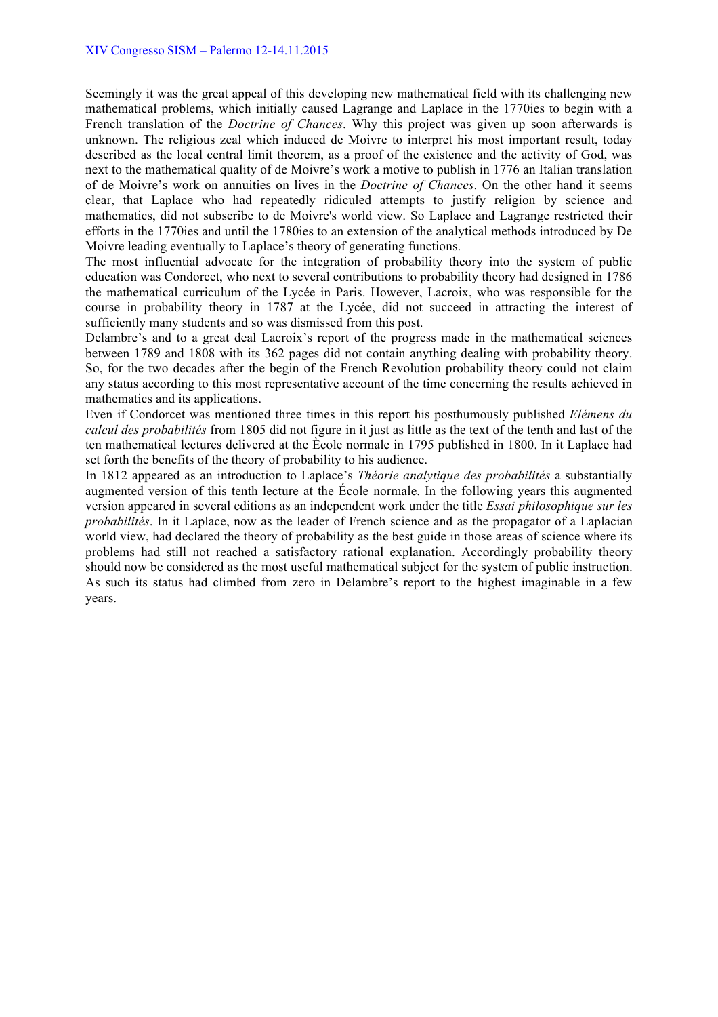Seemingly it was the great appeal of this developing new mathematical field with its challenging new mathematical problems, which initially caused Lagrange and Laplace in the 1770ies to begin with a French translation of the *Doctrine of Chances*. Why this project was given up soon afterwards is unknown. The religious zeal which induced de Moivre to interpret his most important result, today described as the local central limit theorem, as a proof of the existence and the activity of God, was next to the mathematical quality of de Moivre's work a motive to publish in 1776 an Italian translation of de Moivre's work on annuities on lives in the *Doctrine of Chances*. On the other hand it seems clear, that Laplace who had repeatedly ridiculed attempts to justify religion by science and mathematics, did not subscribe to de Moivre's world view. So Laplace and Lagrange restricted their efforts in the 1770ies and until the 1780ies to an extension of the analytical methods introduced by De Moivre leading eventually to Laplace's theory of generating functions.

The most influential advocate for the integration of probability theory into the system of public education was Condorcet, who next to several contributions to probability theory had designed in 1786 the mathematical curriculum of the Lycée in Paris. However, Lacroix, who was responsible for the course in probability theory in 1787 at the Lycée, did not succeed in attracting the interest of sufficiently many students and so was dismissed from this post.

Delambre's and to a great deal Lacroix's report of the progress made in the mathematical sciences between 1789 and 1808 with its 362 pages did not contain anything dealing with probability theory. So, for the two decades after the begin of the French Revolution probability theory could not claim any status according to this most representative account of the time concerning the results achieved in mathematics and its applications.

Even if Condorcet was mentioned three times in this report his posthumously published *Elémens du calcul des probabilités* from 1805 did not figure in it just as little as the text of the tenth and last of the ten mathematical lectures delivered at the Ècole normale in 1795 published in 1800. In it Laplace had set forth the benefits of the theory of probability to his audience.

In 1812 appeared as an introduction to Laplace's *Théorie analytique des probabilités* a substantially augmented version of this tenth lecture at the École normale. In the following years this augmented version appeared in several editions as an independent work under the title *Essai philosophique sur les probabilités*. In it Laplace, now as the leader of French science and as the propagator of a Laplacian world view, had declared the theory of probability as the best guide in those areas of science where its problems had still not reached a satisfactory rational explanation. Accordingly probability theory should now be considered as the most useful mathematical subject for the system of public instruction. As such its status had climbed from zero in Delambre's report to the highest imaginable in a few years.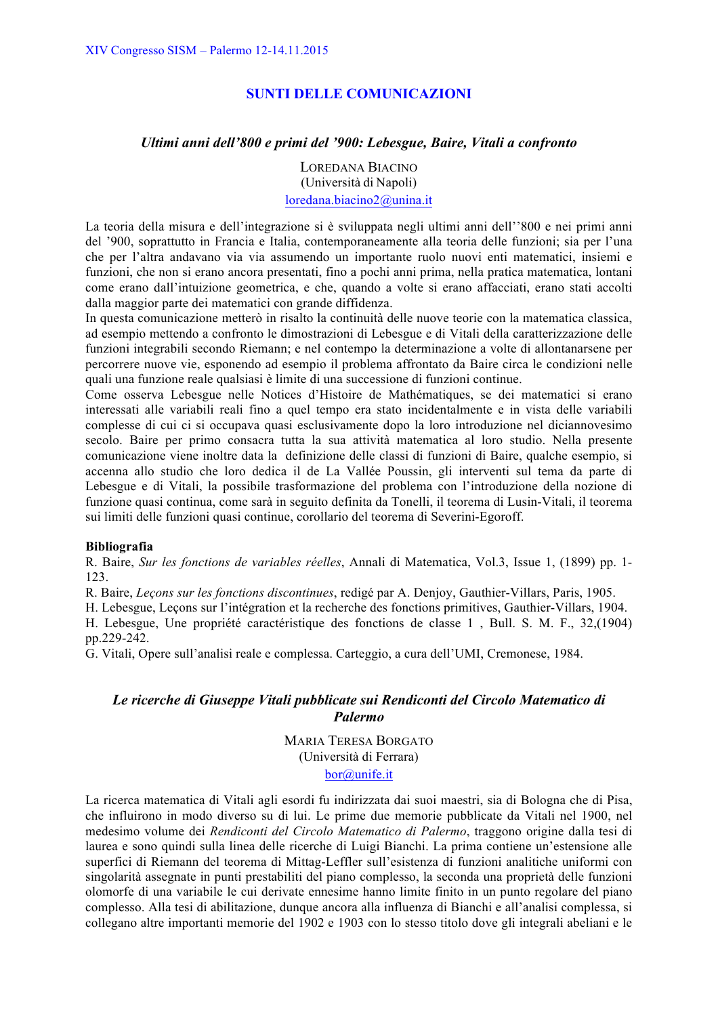# **SUNTI DELLE COMUNICAZIONI**

### *Ultimi anni dell'800 e primi del '900: Lebesgue, Baire, Vitali a confronto*

LOREDANA BIACINO (Università di Napoli)

loredana.biacino2@unina.it

La teoria della misura e dell'integrazione si è sviluppata negli ultimi anni dell''800 e nei primi anni del '900, soprattutto in Francia e Italia, contemporaneamente alla teoria delle funzioni; sia per l'una che per l'altra andavano via via assumendo un importante ruolo nuovi enti matematici, insiemi e funzioni, che non si erano ancora presentati, fino a pochi anni prima, nella pratica matematica, lontani come erano dall'intuizione geometrica, e che, quando a volte si erano affacciati, erano stati accolti dalla maggior parte dei matematici con grande diffidenza.

In questa comunicazione metterò in risalto la continuità delle nuove teorie con la matematica classica, ad esempio mettendo a confronto le dimostrazioni di Lebesgue e di Vitali della caratterizzazione delle funzioni integrabili secondo Riemann; e nel contempo la determinazione a volte di allontanarsene per percorrere nuove vie, esponendo ad esempio il problema affrontato da Baire circa le condizioni nelle quali una funzione reale qualsiasi è limite di una successione di funzioni continue.

Come osserva Lebesgue nelle Notices d'Histoire de Mathématiques, se dei matematici si erano interessati alle variabili reali fino a quel tempo era stato incidentalmente e in vista delle variabili complesse di cui ci si occupava quasi esclusivamente dopo la loro introduzione nel diciannovesimo secolo. Baire per primo consacra tutta la sua attività matematica al loro studio. Nella presente comunicazione viene inoltre data la definizione delle classi di funzioni di Baire, qualche esempio, si accenna allo studio che loro dedica il de La Vallée Poussin, gli interventi sul tema da parte di Lebesgue e di Vitali, la possibile trasformazione del problema con l'introduzione della nozione di funzione quasi continua, come sarà in seguito definita da Tonelli, il teorema di Lusin-Vitali, il teorema sui limiti delle funzioni quasi continue, corollario del teorema di Severini-Egoroff.

#### **Bibliografia**

R. Baire, *Sur les fonctions de variables réelles*, Annali di Matematica, Vol.3, Issue 1, (1899) pp. 1- 123.

R. Baire, *Leçons sur les fonctions discontinues*, redigé par A. Denjoy, Gauthier-Villars, Paris, 1905.

H. Lebesgue, Leçons sur l'intégration et la recherche des fonctions primitives, Gauthier-Villars, 1904.

H. Lebesgue, Une propriété caractéristique des fonctions de classe 1 , Bull. S. M. F., 32,(1904) pp.229-242.

G. Vitali, Opere sull'analisi reale e complessa. Carteggio, a cura dell'UMI, Cremonese, 1984.

# *Le ricerche di Giuseppe Vitali pubblicate sui Rendiconti del Circolo Matematico di Palermo*

MARIA TERESA BORGATO (Università di Ferrara) bor@unife.it

La ricerca matematica di Vitali agli esordi fu indirizzata dai suoi maestri, sia di Bologna che di Pisa, che influirono in modo diverso su di lui. Le prime due memorie pubblicate da Vitali nel 1900, nel medesimo volume dei *Rendiconti del Circolo Matematico di Palermo*, traggono origine dalla tesi di laurea e sono quindi sulla linea delle ricerche di Luigi Bianchi. La prima contiene un'estensione alle superfici di Riemann del teorema di Mittag-Leffler sull'esistenza di funzioni analitiche uniformi con singolarità assegnate in punti prestabiliti del piano complesso, la seconda una proprietà delle funzioni olomorfe di una variabile le cui derivate ennesime hanno limite finito in un punto regolare del piano complesso. Alla tesi di abilitazione, dunque ancora alla influenza di Bianchi e all'analisi complessa, si collegano altre importanti memorie del 1902 e 1903 con lo stesso titolo dove gli integrali abeliani e le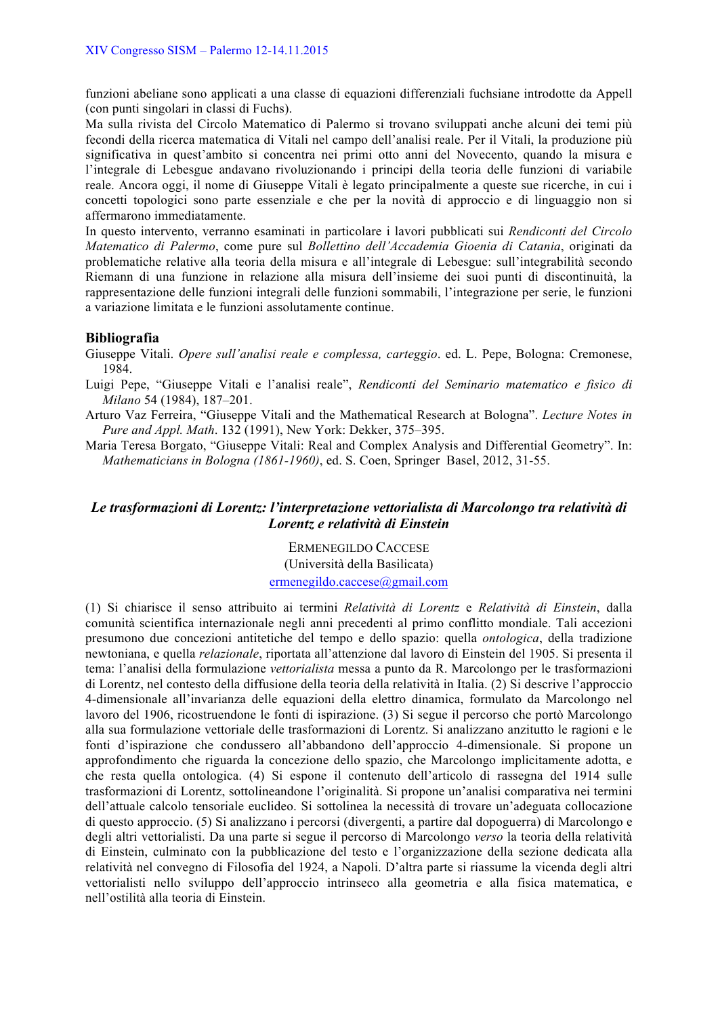funzioni abeliane sono applicati a una classe di equazioni differenziali fuchsiane introdotte da Appell (con punti singolari in classi di Fuchs).

Ma sulla rivista del Circolo Matematico di Palermo si trovano sviluppati anche alcuni dei temi più fecondi della ricerca matematica di Vitali nel campo dell'analisi reale. Per il Vitali, la produzione più significativa in quest'ambito si concentra nei primi otto anni del Novecento, quando la misura e l'integrale di Lebesgue andavano rivoluzionando i principi della teoria delle funzioni di variabile reale. Ancora oggi, il nome di Giuseppe Vitali è legato principalmente a queste sue ricerche, in cui i concetti topologici sono parte essenziale e che per la novità di approccio e di linguaggio non si affermarono immediatamente.

In questo intervento, verranno esaminati in particolare i lavori pubblicati sui *Rendiconti del Circolo Matematico di Palermo*, come pure sul *Bollettino dell'Accademia Gioenia di Catania*, originati da problematiche relative alla teoria della misura e all'integrale di Lebesgue: sull'integrabilità secondo Riemann di una funzione in relazione alla misura dell'insieme dei suoi punti di discontinuità, la rappresentazione delle funzioni integrali delle funzioni sommabili, l'integrazione per serie, le funzioni a variazione limitata e le funzioni assolutamente continue.

### **Bibliografia**

Giuseppe Vitali. *Opere sull'analisi reale e complessa, carteggio*. ed. L. Pepe, Bologna: Cremonese, 1984.

- Luigi Pepe, "Giuseppe Vitali e l'analisi reale", *Rendiconti del Seminario matematico e fisico di Milano* 54 (1984), 187–201.
- Arturo Vaz Ferreira, "Giuseppe Vitali and the Mathematical Research at Bologna". *Lecture Notes in Pure and Appl. Math*. 132 (1991), New York: Dekker, 375–395.
- Maria Teresa Borgato, "Giuseppe Vitali: Real and Complex Analysis and Differential Geometry". In: *Mathematicians in Bologna (1861-1960)*, ed. S. Coen, Springer Basel, 2012, 31-55.

# *Le trasformazioni di Lorentz: l'interpretazione vettorialista di Marcolongo tra relatività di Lorentz e relatività di Einstein*

ERMENEGILDO CACCESE (Università della Basilicata) ermenegildo.caccese@gmail.com

(1) Si chiarisce il senso attribuito ai termini *Relatività di Lorentz* e *Relatività di Einstein*, dalla comunità scientifica internazionale negli anni precedenti al primo conflitto mondiale. Tali accezioni presumono due concezioni antitetiche del tempo e dello spazio: quella *ontologica*, della tradizione newtoniana, e quella *relazionale*, riportata all'attenzione dal lavoro di Einstein del 1905. Si presenta il tema: l'analisi della formulazione *vettorialista* messa a punto da R. Marcolongo per le trasformazioni di Lorentz, nel contesto della diffusione della teoria della relatività in Italia. (2) Si descrive l'approccio 4-dimensionale all'invarianza delle equazioni della elettro dinamica, formulato da Marcolongo nel lavoro del 1906, ricostruendone le fonti di ispirazione. (3) Si segue il percorso che portò Marcolongo alla sua formulazione vettoriale delle trasformazioni di Lorentz. Si analizzano anzitutto le ragioni e le fonti d'ispirazione che condussero all'abbandono dell'approccio 4-dimensionale. Si propone un approfondimento che riguarda la concezione dello spazio, che Marcolongo implicitamente adotta, e che resta quella ontologica. (4) Si espone il contenuto dell'articolo di rassegna del 1914 sulle trasformazioni di Lorentz, sottolineandone l'originalità. Si propone un'analisi comparativa nei termini dell'attuale calcolo tensoriale euclideo. Si sottolinea la necessità di trovare un'adeguata collocazione di questo approccio. (5) Si analizzano i percorsi (divergenti, a partire dal dopoguerra) di Marcolongo e degli altri vettorialisti. Da una parte si segue il percorso di Marcolongo *verso* la teoria della relatività di Einstein, culminato con la pubblicazione del testo e l'organizzazione della sezione dedicata alla relatività nel convegno di Filosofia del 1924, a Napoli. D'altra parte si riassume la vicenda degli altri vettorialisti nello sviluppo dell'approccio intrinseco alla geometria e alla fisica matematica, e nell'ostilità alla teoria di Einstein.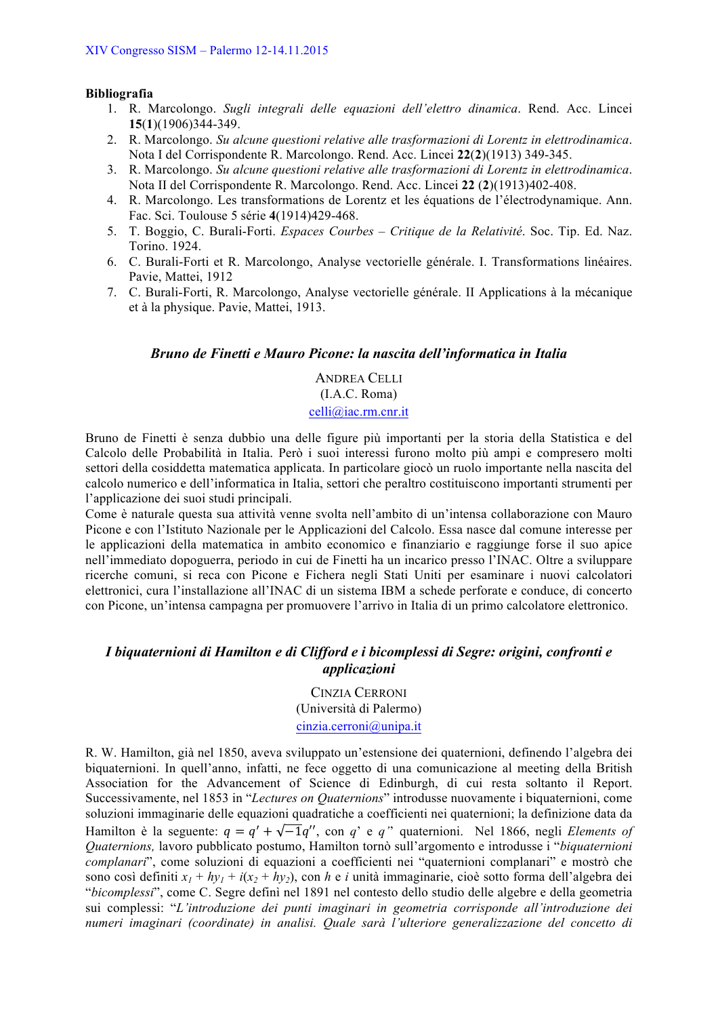# **Bibliografia**

- 1. R. Marcolongo. *Sugli integrali delle equazioni dell'elettro dinamica*. Rend. Acc. Lincei **15**(**1**)(1906)344-349.
- 2. R. Marcolongo. *Su alcune questioni relative alle trasformazioni di Lorentz in elettrodinamica*. Nota I del Corrispondente R. Marcolongo. Rend. Acc. Lincei **22**(**2**)(1913) 349-345.
- 3. R. Marcolongo. *Su alcune questioni relative alle trasformazioni di Lorentz in elettrodinamica*. Nota II del Corrispondente R. Marcolongo. Rend. Acc. Lincei **22** (**2**)(1913)402-408.
- 4. R. Marcolongo. Les transformations de Lorentz et les équations de l'électrodynamique. Ann. Fac. Sci. Toulouse 5 série **4**(1914)429-468.
- 5. T. Boggio, C. Burali-Forti. *Espaces Courbes – Critique de la Relativité*. Soc. Tip. Ed. Naz. Torino. 1924.
- 6. C. Burali-Forti et R. Marcolongo, Analyse vectorielle générale. I. Transformations linéaires. Pavie, Mattei, 1912
- 7. C. Burali-Forti, R. Marcolongo, Analyse vectorielle générale. II Applications à la mécanique et à la physique. Pavie, Mattei, 1913.

### *Bruno de Finetti e Mauro Picone: la nascita dell'informatica in Italia*

ANDREA CELLI (I.A.C. Roma) celli@iac.rm.cnr.it

Bruno de Finetti è senza dubbio una delle figure più importanti per la storia della Statistica e del Calcolo delle Probabilità in Italia. Però i suoi interessi furono molto più ampi e compresero molti settori della cosiddetta matematica applicata. In particolare giocò un ruolo importante nella nascita del calcolo numerico e dell'informatica in Italia, settori che peraltro costituiscono importanti strumenti per l'applicazione dei suoi studi principali.

Come è naturale questa sua attività venne svolta nell'ambito di un'intensa collaborazione con Mauro Picone e con l'Istituto Nazionale per le Applicazioni del Calcolo. Essa nasce dal comune interesse per le applicazioni della matematica in ambito economico e finanziario e raggiunge forse il suo apice nell'immediato dopoguerra, periodo in cui de Finetti ha un incarico presso l'INAC. Oltre a sviluppare ricerche comuni, si reca con Picone e Fichera negli Stati Uniti per esaminare i nuovi calcolatori elettronici, cura l'installazione all'INAC di un sistema IBM a schede perforate e conduce, di concerto con Picone, un'intensa campagna per promuovere l'arrivo in Italia di un primo calcolatore elettronico.

# *I biquaternioni di Hamilton e di Clifford e i bicomplessi di Segre: origini, confronti e applicazioni*

CINZIA CERRONI (Università di Palermo) cinzia.cerroni@unipa.it

R. W. Hamilton, già nel 1850, aveva sviluppato un'estensione dei quaternioni, definendo l'algebra dei biquaternioni. In quell'anno, infatti, ne fece oggetto di una comunicazione al meeting della British Association for the Advancement of Science di Edinburgh, di cui resta soltanto il Report. Successivamente, nel 1853 in "*Lectures on Quaternions*" introdusse nuovamente i biquaternioni, come soluzioni immaginarie delle equazioni quadratiche a coefficienti nei quaternioni; la definizione data da Hamilton è la seguente:  $q = q' + \sqrt{-1}q''$ , con *q*' e *q*" quaternioni. Nel 1866, negli *Elements of Quaternions,* lavoro pubblicato postumo, Hamilton tornò sull'argomento e introdusse i "*biquaternioni complanari*", come soluzioni di equazioni a coefficienti nei "quaternioni complanari" e mostrò che sono così definiti  $x_1 + hy_1 + i(x_2 + hy_2)$ , con *h* e *i* unità immaginarie, cioè sotto forma dell'algebra dei "*bicomplessi*", come C. Segre definì nel 1891 nel contesto dello studio delle algebre e della geometria sui complessi: "*L'introduzione dei punti imaginari in geometria corrisponde all'introduzione dei numeri imaginari (coordinate) in analisi. Quale sarà l'ulteriore generalizzazione del concetto di*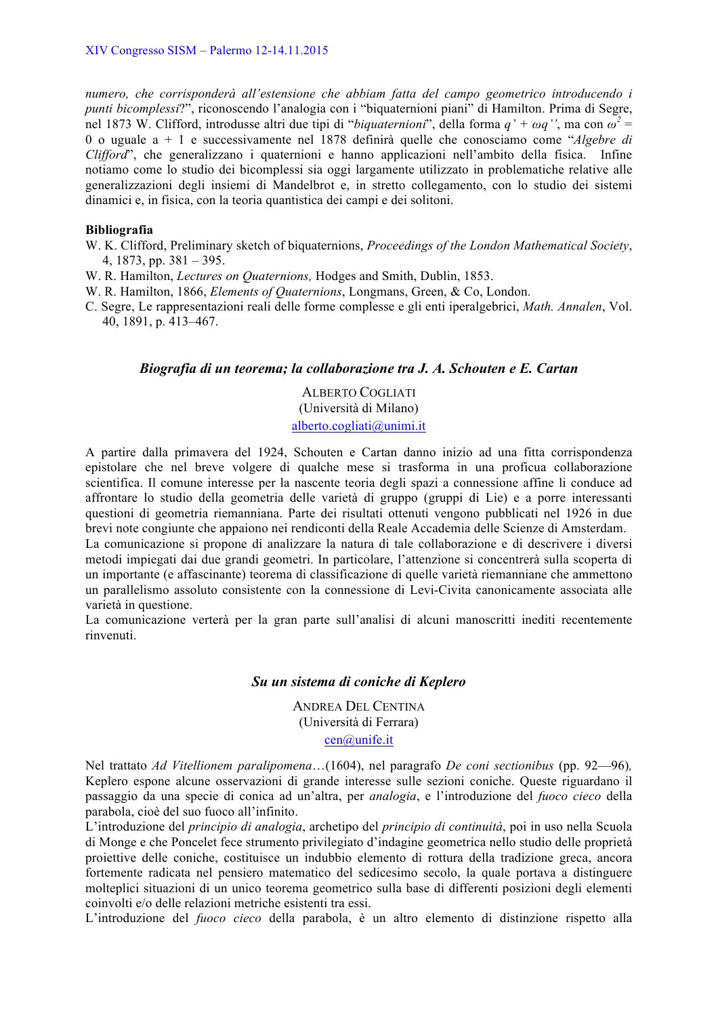*numero, che corrisponderà all'estensione che abbiam fatta del campo geometrico introducendo i punti bicomplessi*?", riconoscendo l'analogia con i "biquaternioni piani" di Hamilton. Prima di Segre, nel 1873 W. Clifford, introdusse altri due tipi di "*biquaternioni*", della forma  $q' + \omega q''$ , ma con  $\omega^2 =$ 0 o uguale a + 1 e successivamente nel 1878 definirà quelle che conosciamo come "*Algebre di Clifford*", che generalizzano i quaternioni e hanno applicazioni nell'ambito della fisica. Infine notiamo come lo studio dei bicomplessi sia oggi largamente utilizzato in problematiche relative alle generalizzazioni degli insiemi di Mandelbrot e, in stretto collegamento, con lo studio dei sistemi dinamici e, in fisica, con la teoria quantistica dei campi e dei solitoni.

### **Bibliografia**

- W. K. Clifford, Preliminary sketch of biquaternions, *Proceedings of the London Mathematical Society*, 4, 1873, pp. 381 – 395.
- W. R. Hamilton, *Lectures on Quaternions,* Hodges and Smith, Dublin, 1853.
- W. R. Hamilton, 1866, *Elements of Quaternions*, Longmans, Green, & Co, London.
- C. Segre, Le rappresentazioni reali delle forme complesse e gli enti iperalgebrici, *Math. Annalen*, Vol. 40, 1891, p. 413–467.

# *Biografia di un teorema; la collaborazione tra J. A. Schouten e E. Cartan*

ALBERTO COGLIATI (Università di Milano) alberto.cogliati@unimi.it

A partire dalla primavera del 1924, Schouten e Cartan danno inizio ad una fitta corrispondenza epistolare che nel breve volgere di qualche mese si trasforma in una proficua collaborazione scientifica. Il comune interesse per la nascente teoria degli spazi a connessione affine li conduce ad affrontare lo studio della geometria delle varietà di gruppo (gruppi di Lie) e a porre interessanti questioni di geometria riemanniana. Parte dei risultati ottenuti vengono pubblicati nel 1926 in due brevi note congiunte che appaiono nei rendiconti della Reale Accademia delle Scienze di Amsterdam.

La comunicazione si propone di analizzare la natura di tale collaborazione e di descrivere i diversi metodi impiegati dai due grandi geometri. In particolare, l'attenzione si concentrerà sulla scoperta di un importante (e affascinante) teorema di classificazione di quelle varietà riemanniane che ammettono un parallelismo assoluto consistente con la connessione di Levi-Civita canonicamente associata alle varietà in questione.

La comunicazione verterà per la gran parte sull'analisi di alcuni manoscritti inediti recentemente rinvenuti.

### *Su un sistema di coniche di Keplero*

ANDREA DEL CENTINA (Università di Ferrara) cen@unife.it

Nel trattato *Ad Vitellionem paralipomena*…(1604), nel paragrafo *De coni sectionibus* (pp. 92—96)*,* Keplero espone alcune osservazioni di grande interesse sulle sezioni coniche. Queste riguardano il passaggio da una specie di conica ad un'altra, per *analogia*, e l'introduzione del *fuoco cieco* della parabola, cioè del suo fuoco all'infinito.

L'introduzione del *principio di analogia*, archetipo del *principio di continuità*, poi in uso nella Scuola di Monge e che Poncelet fece strumento privilegiato d'indagine geometrica nello studio delle proprietà proiettive delle coniche, costituisce un indubbio elemento di rottura della tradizione greca, ancora fortemente radicata nel pensiero matematico del sedicesimo secolo, la quale portava a distinguere molteplici situazioni di un unico teorema geometrico sulla base di differenti posizioni degli elementi coinvolti e/o delle relazioni metriche esistenti tra essi.

L'introduzione del *fuoco cieco* della parabola, è un altro elemento di distinzione rispetto alla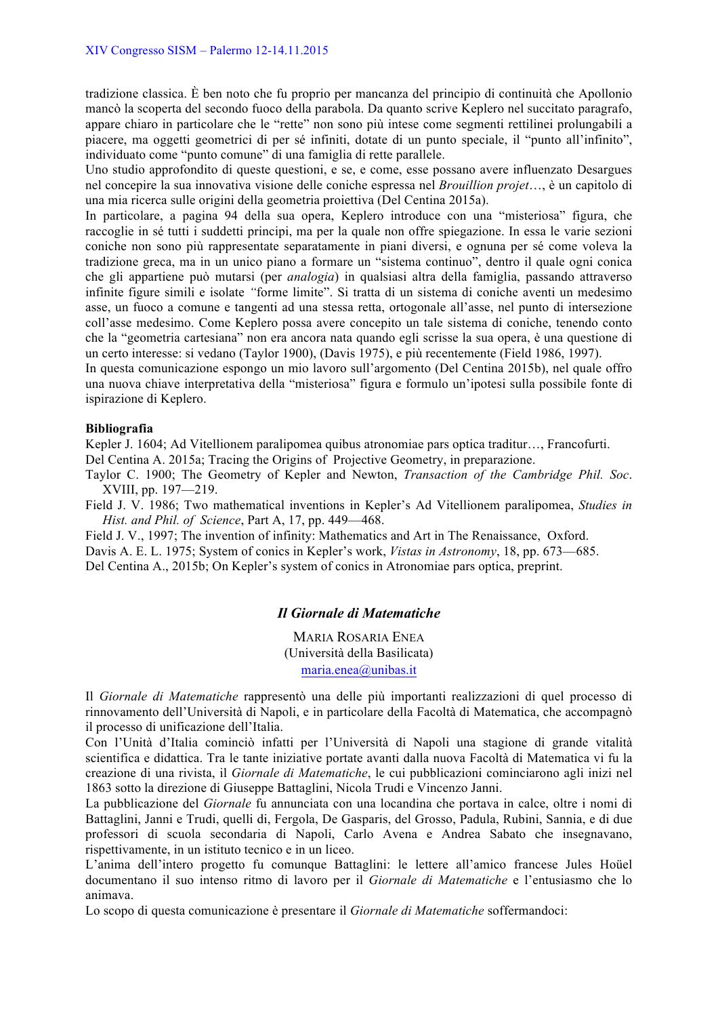tradizione classica. È ben noto che fu proprio per mancanza del principio di continuità che Apollonio mancò la scoperta del secondo fuoco della parabola. Da quanto scrive Keplero nel succitato paragrafo, appare chiaro in particolare che le "rette" non sono più intese come segmenti rettilinei prolungabili a piacere, ma oggetti geometrici di per sé infiniti, dotate di un punto speciale, il "punto all'infinito", individuato come "punto comune" di una famiglia di rette parallele.

Uno studio approfondito di queste questioni, e se, e come, esse possano avere influenzato Desargues nel concepire la sua innovativa visione delle coniche espressa nel *Brouillion projet*…, è un capitolo di una mia ricerca sulle origini della geometria proiettiva (Del Centina 2015a).

In particolare, a pagina 94 della sua opera, Keplero introduce con una "misteriosa" figura, che raccoglie in sé tutti i suddetti principi, ma per la quale non offre spiegazione. In essa le varie sezioni coniche non sono più rappresentate separatamente in piani diversi, e ognuna per sé come voleva la tradizione greca, ma in un unico piano a formare un "sistema continuo", dentro il quale ogni conica che gli appartiene può mutarsi (per *analogia*) in qualsiasi altra della famiglia, passando attraverso infinite figure simili e isolate *"*forme limite". Si tratta di un sistema di coniche aventi un medesimo asse, un fuoco a comune e tangenti ad una stessa retta, ortogonale all'asse, nel punto di intersezione coll'asse medesimo. Come Keplero possa avere concepito un tale sistema di coniche, tenendo conto che la "geometria cartesiana" non era ancora nata quando egli scrisse la sua opera, è una questione di un certo interesse: si vedano (Taylor 1900), (Davis 1975), e più recentemente (Field 1986, 1997).

In questa comunicazione espongo un mio lavoro sull'argomento (Del Centina 2015b), nel quale offro una nuova chiave interpretativa della "misteriosa" figura e formulo un'ipotesi sulla possibile fonte di ispirazione di Keplero.

### **Bibliografia**

Kepler J. 1604; Ad Vitellionem paralipomea quibus atronomiae pars optica traditur…, Francofurti. Del Centina A. 2015a; Tracing the Origins of Projective Geometry, in preparazione.

Taylor C. 1900; The Geometry of Kepler and Newton, *Transaction of the Cambridge Phil. Soc*. XVIII, pp. 197—219.

Field J. V. 1986; Two mathematical inventions in Kepler's Ad Vitellionem paralipomea, *Studies in Hist. and Phil. of Science*, Part A, 17, pp. 449—468.

Field J. V., 1997; The invention of infinity: Mathematics and Art in The Renaissance, Oxford. Davis A. E. L. 1975; System of conics in Kepler's work, *Vistas in Astronomy*, 18, pp. 673—685. Del Centina A., 2015b; On Kepler's system of conics in Atronomiae pars optica, preprint.

# *Il Giornale di Matematiche*

MARIA ROSARIA ENEA (Università della Basilicata) maria.enea@unibas.it

Il *Giornale di Matematiche* rappresentò una delle più importanti realizzazioni di quel processo di rinnovamento dell'Università di Napoli, e in particolare della Facoltà di Matematica, che accompagnò il processo di unificazione dell'Italia.

Con l'Unità d'Italia cominciò infatti per l'Università di Napoli una stagione di grande vitalità scientifica e didattica. Tra le tante iniziative portate avanti dalla nuova Facoltà di Matematica vi fu la creazione di una rivista, il *Giornale di Matematiche*, le cui pubblicazioni cominciarono agli inizi nel 1863 sotto la direzione di Giuseppe Battaglini, Nicola Trudi e Vincenzo Janni.

La pubblicazione del *Giornale* fu annunciata con una locandina che portava in calce, oltre i nomi di Battaglini, Janni e Trudi, quelli di, Fergola, De Gasparis, del Grosso, Padula, Rubini, Sannia, e di due professori di scuola secondaria di Napoli, Carlo Avena e Andrea Sabato che insegnavano, rispettivamente, in un istituto tecnico e in un liceo.

L'anima dell'intero progetto fu comunque Battaglini: le lettere all'amico francese Jules Hoüel documentano il suo intenso ritmo di lavoro per il *Giornale di Matematiche* e l'entusiasmo che lo animava.

Lo scopo di questa comunicazione è presentare il *Giornale di Matematiche* soffermandoci: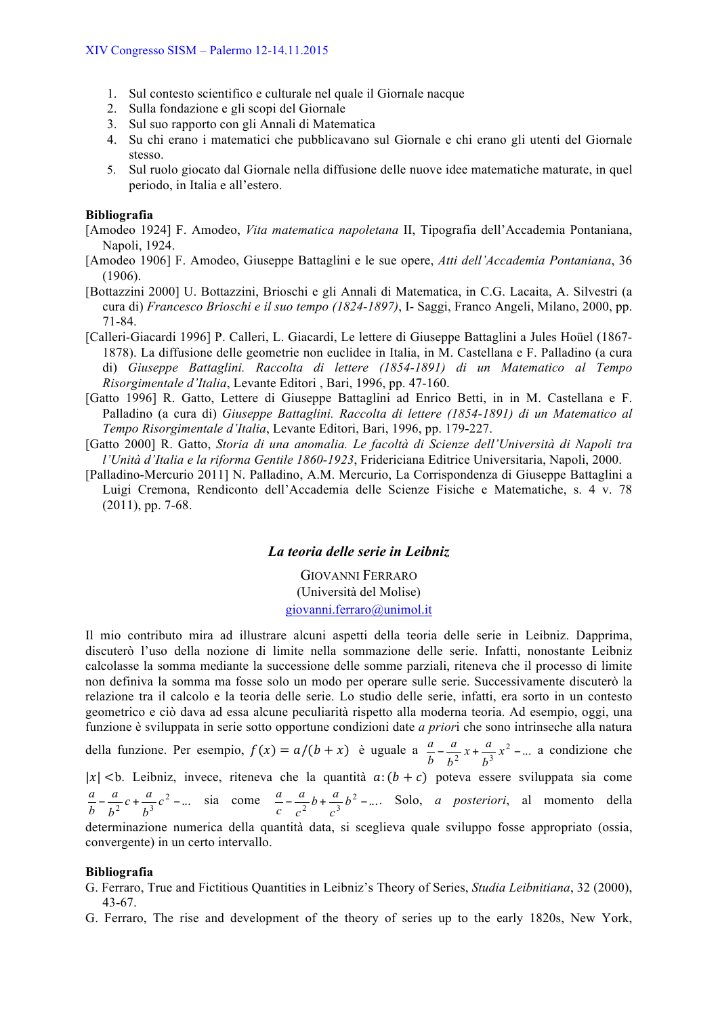- 1. Sul contesto scientifico e culturale nel quale il Giornale nacque
- 2. Sulla fondazione e gli scopi del Giornale
- 3. Sul suo rapporto con gli Annali di Matematica
- 4. Su chi erano i matematici che pubblicavano sul Giornale e chi erano gli utenti del Giornale stesso.
- 5. Sul ruolo giocato dal Giornale nella diffusione delle nuove idee matematiche maturate, in quel periodo, in Italia e all'estero.

#### **Bibliografia**

[Amodeo 1924] F. Amodeo, *Vita matematica napoletana* II, Tipografia dell'Accademia Pontaniana, Napoli, 1924.

- [Amodeo 1906] F. Amodeo, Giuseppe Battaglini e le sue opere, *Atti dell'Accademia Pontaniana*, 36 (1906).
- [Bottazzini 2000] U. Bottazzini, Brioschi e gli Annali di Matematica, in C.G. Lacaita, A. Silvestri (a cura di) *Francesco Brioschi e il suo tempo (1824-1897)*, I- Saggi, Franco Angeli, Milano, 2000, pp. 71-84.
- [Calleri-Giacardi 1996] P. Calleri, L. Giacardi, Le lettere di Giuseppe Battaglini a Jules Hoüel (1867- 1878). La diffusione delle geometrie non euclidee in Italia, in M. Castellana e F. Palladino (a cura di) *Giuseppe Battaglini. Raccolta di lettere (1854-1891) di un Matematico al Tempo Risorgimentale d'Italia*, Levante Editori , Bari, 1996, pp. 47-160.
- [Gatto 1996] R. Gatto, Lettere di Giuseppe Battaglini ad Enrico Betti, in in M. Castellana e F. Palladino (a cura di) *Giuseppe Battaglini. Raccolta di lettere (1854-1891) di un Matematico al Tempo Risorgimentale d'Italia*, Levante Editori, Bari, 1996, pp. 179-227.
- [Gatto 2000] R. Gatto, *Storia di una anomalia. Le facoltà di Scienze dell'Università di Napoli tra l'Unità d'Italia e la riforma Gentile 1860-1923*, Fridericiana Editrice Universitaria, Napoli, 2000.
- [Palladino-Mercurio 2011] N. Palladino, A.M. Mercurio, La Corrispondenza di Giuseppe Battaglini a Luigi Cremona, Rendiconto dell'Accademia delle Scienze Fisiche e Matematiche, s. 4 v. 78 (2011), pp. 7-68.

### *La teoria delle serie in Leibniz*

GIOVANNI FERRARO (Università del Molise) giovanni.ferraro@unimol.it

Il mio contributo mira ad illustrare alcuni aspetti della teoria delle serie in Leibniz. Dapprima, discuterò l'uso della nozione di limite nella sommazione delle serie. Infatti, nonostante Leibniz calcolasse la somma mediante la successione delle somme parziali, riteneva che il processo di limite non definiva la somma ma fosse solo un modo per operare sulle serie. Successivamente discuterò la relazione tra il calcolo e la teoria delle serie. Lo studio delle serie, infatti, era sorto in un contesto geometrico e ciò dava ad essa alcune peculiarità rispetto alla moderna teoria. Ad esempio, oggi, una funzione è sviluppata in serie sotto opportune condizioni date *a prior*i che sono intrinseche alla natura della funzione. Per esempio,  $f(x) = a/(b + x)$  è uguale a  $\frac{a}{b} - \frac{a}{b^2}x + \frac{a}{b^3}x^2 - ...$ *b a b*  $\frac{a}{x} - \frac{a}{x^2}x + \frac{a}{x^2}x^2 - \dots$  a condizione che  $|x|$  <b. Leibniz, invece, riteneva che la quantità  $a: (b + c)$  poteva essere sviluppata sia come  $-\frac{a}{b^2}c + \frac{a}{b^3}c^2 - ...$ *b a*  $\frac{a}{b} - \frac{a}{b^2}c + \frac{a}{b^3}c^2 - \dots$  sia come  $\frac{a}{c} - \frac{a}{c^2}b + \frac{a}{c^3}b^2 - \dots$ *c a c*  $\frac{a}{2} - \frac{a}{2}b + \frac{a}{2}b^2 - \dots$  Solo, *a posteriori*, al momento della determinazione numerica della quantità data, si sceglieva quale sviluppo fosse appropriato (ossia, convergente) in un certo intervallo.

#### **Bibliografia**

- G. Ferraro, True and Fictitious Quantities in Leibniz's Theory of Series, *Studia Leibnitiana*, 32 (2000), 43-67.
- G. Ferraro, The rise and development of the theory of series up to the early 1820s, New York,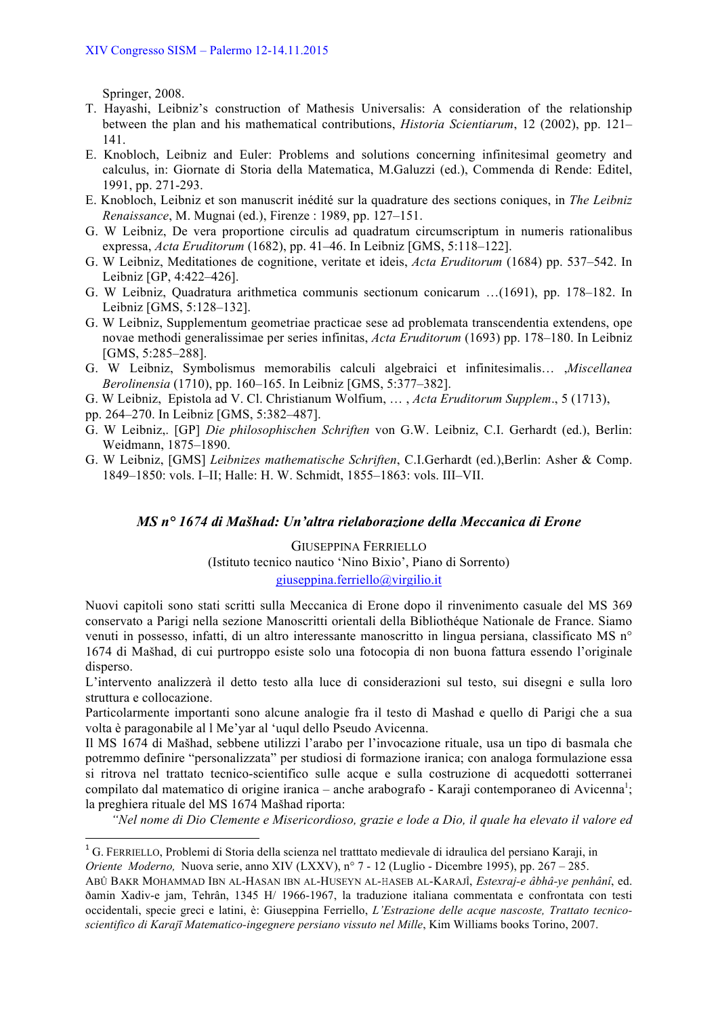Springer, 2008.

- T. Hayashi, Leibniz's construction of Mathesis Universalis: A consideration of the relationship between the plan and his mathematical contributions, *Historia Scientiarum*, 12 (2002), pp. 121– 141.
- E. Knobloch, Leibniz and Euler: Problems and solutions concerning infinitesimal geometry and calculus, in: Giornate di Storia della Matematica, M.Galuzzi (ed.), Commenda di Rende: Editel, 1991, pp. 271-293.
- E. Knobloch, Leibniz et son manuscrit inédité sur la quadrature des sections coniques, in *The Leibniz Renaissance*, M. Mugnai (ed.), Firenze : 1989, pp. 127–151.
- G. W Leibniz, De vera proportione circulis ad quadratum circumscriptum in numeris rationalibus expressa, *Acta Eruditorum* (1682), pp. 41–46. In Leibniz [GMS, 5:118–122].
- G. W Leibniz, Meditationes de cognitione, veritate et ideis, *Acta Eruditorum* (1684) pp. 537–542. In Leibniz [GP, 4:422–426].
- G. W Leibniz, Quadratura arithmetica communis sectionum conicarum …(1691), pp. 178–182. In Leibniz [GMS, 5:128–132].
- G. W Leibniz, Supplementum geometriae practicae sese ad problemata transcendentia extendens, ope novae methodi generalissimae per series infinitas, *Acta Eruditorum* (1693) pp. 178–180. In Leibniz [GMS, 5:285–288].
- G. W Leibniz, Symbolismus memorabilis calculi algebraici et infinitesimalis… ,*Miscellanea Berolinensia* (1710), pp. 160–165. In Leibniz [GMS, 5:377–382].
- G. W Leibniz, Epistola ad V. Cl. Christianum Wolfium, … , *Acta Eruditorum Supplem*., 5 (1713),
- pp. 264–270. In Leibniz [GMS, 5:382–487].

<u> 1989 - Johann Stein, fransk politik (d. 1989)</u>

- G. W Leibniz,. [GP] *Die philosophischen Schriften* von G.W. Leibniz, C.I. Gerhardt (ed.), Berlin: Weidmann, 1875–1890.
- G. W Leibniz, [GMS] *Leibnizes mathematische Schriften*, C.I.Gerhardt (ed.),Berlin: Asher & Comp. 1849–1850: vols. I–II; Halle: H. W. Schmidt, 1855–1863: vols. III–VII.

# *MS n° 1674 di Mašhad: Un'altra rielaborazione della Meccanica di Erone*

GIUSEPPINA FERRIELLO (Istituto tecnico nautico 'Nino Bixio', Piano di Sorrento) giuseppina.ferriello@virgilio.it

Nuovi capitoli sono stati scritti sulla Meccanica di Erone dopo il rinvenimento casuale del MS 369 conservato a Parigi nella sezione Manoscritti orientali della Bibliothéque Nationale de France. Siamo venuti in possesso, infatti, di un altro interessante manoscritto in lingua persiana, classificato MS n° 1674 di Mašhad, di cui purtroppo esiste solo una fotocopia di non buona fattura essendo l'originale disperso.

L'intervento analizzerà il detto testo alla luce di considerazioni sul testo, sui disegni e sulla loro struttura e collocazione.

Particolarmente importanti sono alcune analogie fra il testo di Mashad e quello di Parigi che a sua volta è paragonabile al l Me'yar al 'uqul dello Pseudo Avicenna.

Il MS 1674 di Mašhad, sebbene utilizzi l'arabo per l'invocazione rituale, usa un tipo di basmala che potremmo definire "personalizzata" per studiosi di formazione iranica; con analoga formulazione essa si ritrova nel trattato tecnico-scientifico sulle acque e sulla costruzione di acquedotti sotterranei compilato dal matematico di origine iranica – anche arabografo - Karaji contemporaneo di Avicenna<sup>1</sup>; la preghiera rituale del MS 1674 Mašhad riporta:

*"Nel nome di Dio Clemente e Misericordioso, grazie e lode a Dio, il quale ha elevato il valore ed* 

<sup>&</sup>lt;sup>1</sup> G. FERRIELLO, Problemi di Storia della scienza nel tratttato medievale di idraulica del persiano Karaji, in

*Oriente Moderno,* Nuova serie, anno XIV (LXXV), n° 7 - 12 (Luglio - Dicembre 1995), pp. 267 – 285.

ABÛ BAKR MOHAMMAD IBN AL-HASAN IBN AL-HUSEYN AL-HASEB AL-KARAJÎ, *Estexraj-e âbhâ-ye penhânî*, ed. ðamin Xadiv-e jam, Tehrân, 1345 H/ 1966-1967, la traduzione italiana commentata e confrontata con testi occidentali, specie greci e latini, è: Giuseppina Ferriello, *L'Estrazione delle acque nascoste, Trattato tecnicoscientifico di Karajī Matematico-ingegnere persiano vissuto nel Mille*, Kim Williams books Torino, 2007.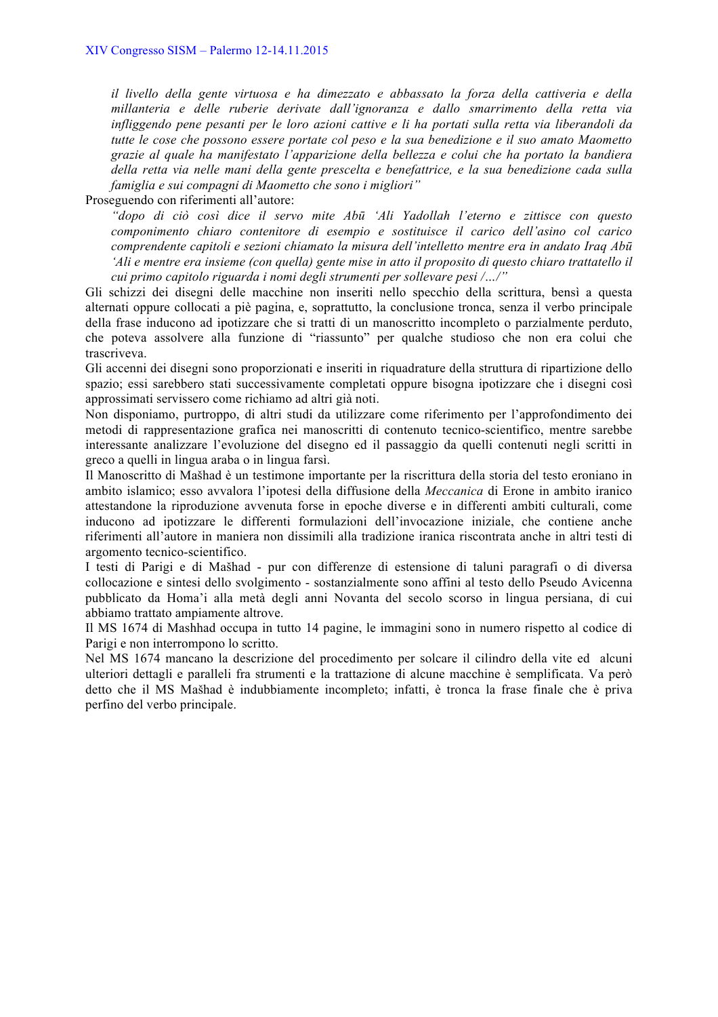*il livello della gente virtuosa e ha dimezzato e abbassato la forza della cattiveria e della millanteria e delle ruberie derivate dall'ignoranza e dallo smarrimento della retta via infliggendo pene pesanti per le loro azioni cattive e li ha portati sulla retta via liberandoli da tutte le cose che possono essere portate col peso e la sua benedizione e il suo amato Maometto grazie al quale ha manifestato l'apparizione della bellezza e colui che ha portato la bandiera della retta via nelle mani della gente prescelta e benefattrice, e la sua benedizione cada sulla famiglia e sui compagni di Maometto che sono i migliori"*

Proseguendo con riferimenti all'autore:

*"dopo di ciò così dice il servo mite Abū 'Ali Yadollah l'eterno e zittisce con questo componimento chiaro contenitore di esempio e sostituisce il carico dell'asino col carico comprendente capitoli e sezioni chiamato la misura dell'intelletto mentre era in andato Iraq Abū 'Ali e mentre era insieme (con quella) gente mise in atto il proposito di questo chiaro trattatello il cui primo capitolo riguarda i nomi degli strumenti per sollevare pesi /…/"*

Gli schizzi dei disegni delle macchine non inseriti nello specchio della scrittura, bensì a questa alternati oppure collocati a piè pagina, e, soprattutto, la conclusione tronca, senza il verbo principale della frase inducono ad ipotizzare che si tratti di un manoscritto incompleto o parzialmente perduto, che poteva assolvere alla funzione di "riassunto" per qualche studioso che non era colui che trascriveva.

Gli accenni dei disegni sono proporzionati e inseriti in riquadrature della struttura di ripartizione dello spazio; essi sarebbero stati successivamente completati oppure bisogna ipotizzare che i disegni così approssimati servissero come richiamo ad altri già noti.

Non disponiamo, purtroppo, di altri studi da utilizzare come riferimento per l'approfondimento dei metodi di rappresentazione grafica nei manoscritti di contenuto tecnico-scientifico, mentre sarebbe interessante analizzare l'evoluzione del disegno ed il passaggio da quelli contenuti negli scritti in greco a quelli in lingua araba o in lingua farsì.

Il Manoscritto di Mašhad è un testimone importante per la riscrittura della storia del testo eroniano in ambito islamico; esso avvalora l'ipotesi della diffusione della *Meccanica* di Erone in ambito iranico attestandone la riproduzione avvenuta forse in epoche diverse e in differenti ambiti culturali, come inducono ad ipotizzare le differenti formulazioni dell'invocazione iniziale, che contiene anche riferimenti all'autore in maniera non dissimili alla tradizione iranica riscontrata anche in altri testi di argomento tecnico-scientifico.

I testi di Parigi e di Mašhad - pur con differenze di estensione di taluni paragrafi o di diversa collocazione e sintesi dello svolgimento - sostanzialmente sono affini al testo dello Pseudo Avicenna pubblicato da Homa'i alla metà degli anni Novanta del secolo scorso in lingua persiana, di cui abbiamo trattato ampiamente altrove.

Il MS 1674 di Mashhad occupa in tutto 14 pagine, le immagini sono in numero rispetto al codice di Parigi e non interrompono lo scritto.

Nel MS 1674 mancano la descrizione del procedimento per solcare il cilindro della vite ed alcuni ulteriori dettagli e paralleli fra strumenti e la trattazione di alcune macchine è semplificata. Va però detto che il MS Mašhad è indubbiamente incompleto; infatti, è tronca la frase finale che è priva perfino del verbo principale.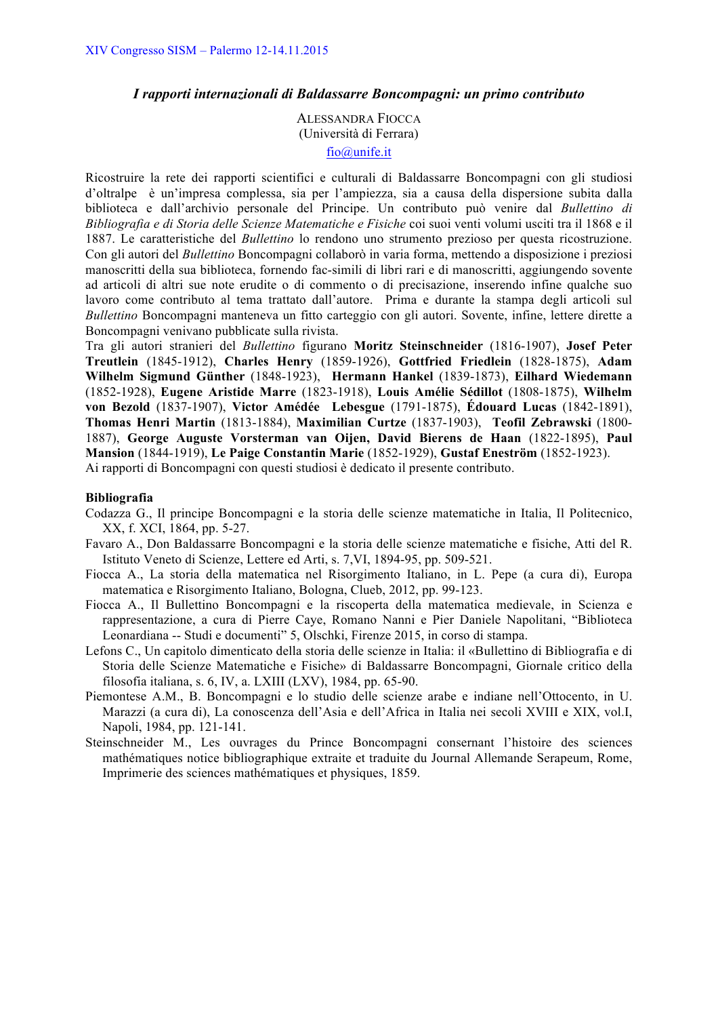### *I rapporti internazionali di Baldassarre Boncompagni: un primo contributo*

ALESSANDRA FIOCCA (Università di Ferrara) fio@unife.it

Ricostruire la rete dei rapporti scientifici e culturali di Baldassarre Boncompagni con gli studiosi d'oltralpe è un'impresa complessa, sia per l'ampiezza, sia a causa della dispersione subita dalla biblioteca e dall'archivio personale del Principe. Un contributo può venire dal *Bullettino di Bibliografia e di Storia delle Scienze Matematiche e Fisiche* coi suoi venti volumi usciti tra il 1868 e il 1887. Le caratteristiche del *Bullettino* lo rendono uno strumento prezioso per questa ricostruzione. Con gli autori del *Bullettino* Boncompagni collaborò in varia forma, mettendo a disposizione i preziosi manoscritti della sua biblioteca, fornendo fac-simili di libri rari e di manoscritti, aggiungendo sovente ad articoli di altri sue note erudite o di commento o di precisazione, inserendo infine qualche suo lavoro come contributo al tema trattato dall'autore. Prima e durante la stampa degli articoli sul *Bullettino* Boncompagni manteneva un fitto carteggio con gli autori. Sovente, infine, lettere dirette a Boncompagni venivano pubblicate sulla rivista.

Tra gli autori stranieri del *Bullettino* figurano **Moritz Steinschneider** (1816-1907), **Josef Peter Treutlein** (1845-1912), **Charles Henry** (1859-1926), **Gottfried Friedlein** (1828-1875), **Adam Wilhelm Sigmund Günther** (1848-1923), **Hermann Hankel** (1839-1873), **Eilhard Wiedemann** (1852-1928), **Eugene Aristide Marre** (1823-1918), **Louis Amélie Sédillot** (1808-1875), **Wilhelm von Bezold** (1837-1907), **Victor Amédée Lebesgue** (1791-1875), **Édouard Lucas** (1842-1891), **Thomas Henri Martin** (1813-1884), **Maximilian Curtze** (1837-1903), **Teofil Zebrawski** (1800- 1887), **George Auguste Vorsterman van Oijen, David Bierens de Haan** (1822-1895), **Paul Mansion** (1844-1919), **Le Paige Constantin Marie** (1852-1929), **Gustaf Eneström** (1852-1923). Ai rapporti di Boncompagni con questi studiosi è dedicato il presente contributo.

#### **Bibliografia**

- Codazza G., Il principe Boncompagni e la storia delle scienze matematiche in Italia, Il Politecnico, XX, f. XCI, 1864, pp. 5-27.
- Favaro A., Don Baldassarre Boncompagni e la storia delle scienze matematiche e fisiche, Atti del R. Istituto Veneto di Scienze, Lettere ed Arti, s. 7,VI, 1894-95, pp. 509-521.
- Fiocca A., La storia della matematica nel Risorgimento Italiano, in L. Pepe (a cura di), Europa matematica e Risorgimento Italiano, Bologna, Clueb, 2012, pp. 99-123.
- Fiocca A., Il Bullettino Boncompagni e la riscoperta della matematica medievale, in Scienza e rappresentazione, a cura di Pierre Caye, Romano Nanni e Pier Daniele Napolitani, "Biblioteca Leonardiana -- Studi e documenti" 5, Olschki, Firenze 2015, in corso di stampa.
- Lefons C., Un capitolo dimenticato della storia delle scienze in Italia: il «Bullettino di Bibliografia e di Storia delle Scienze Matematiche e Fisiche» di Baldassarre Boncompagni, Giornale critico della filosofia italiana, s. 6, IV, a. LXIII (LXV), 1984, pp. 65-90.
- Piemontese A.M., B. Boncompagni e lo studio delle scienze arabe e indiane nell'Ottocento, in U. Marazzi (a cura di), La conoscenza dell'Asia e dell'Africa in Italia nei secoli XVIII e XIX, vol.I, Napoli, 1984, pp. 121-141.
- Steinschneider M., Les ouvrages du Prince Boncompagni consernant l'histoire des sciences mathématiques notice bibliographique extraite et traduite du Journal Allemande Serapeum, Rome, Imprimerie des sciences mathématiques et physiques, 1859.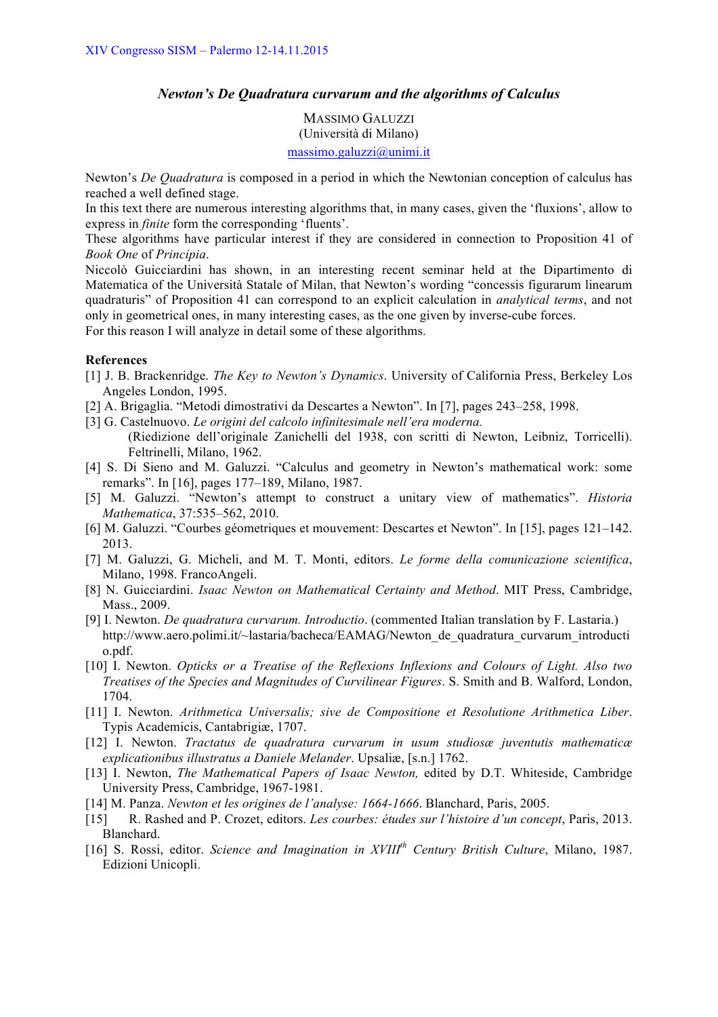# *Newton's De Quadratura curvarum and the algorithms of Calculus*

MASSIMO GALUZZI (Università di Milano) massimo.galuzzi@unimi.it

Newton's *De Quadratura* is composed in a period in which the Newtonian conception of calculus has reached a well defined stage.

In this text there are numerous interesting algorithms that, in many cases, given the 'fluxions', allow to express in *finite* form the corresponding 'fluents'.

These algorithms have particular interest if they are considered in connection to Proposition 41 of *Book One* of *Principia*.

Niccolò Guicciardini has shown, in an interesting recent seminar held at the Dipartimento di Matematica of the Università Statale of Milan, that Newton's wording "concessis figurarum linearum quadraturis" of Proposition 41 can correspond to an explicit calculation in *analytical terms*, and not only in geometrical ones, in many interesting cases, as the one given by inverse-cube forces. For this reason I will analyze in detail some of these algorithms.

**References**

- [1] J. B. Brackenridge. *The Key to Newton's Dynamics*. University of California Press, Berkeley Los Angeles London, 1995.
- [2] A. Brigaglia. "Metodi dimostrativi da Descartes a Newton". In [7], pages 243–258, 1998.
- [3] G. Castelnuovo. *Le origini del calcolo infinitesimale nell'era moderna.* (Riedizione dell'originale Zanichelli del 1938, con scritti di Newton, Leibniz, Torricelli). Feltrinelli, Milano, 1962.
- [4] S. Di Sieno and M. Galuzzi. "Calculus and geometry in Newton's mathematical work: some remarks". In [16], pages 177–189, Milano, 1987.
- [5] M. Galuzzi. "Newton's attempt to construct a unitary view of mathematics". *Historia Mathematica*, 37:535–562, 2010.
- [6] M. Galuzzi. "Courbes géometriques et mouvement: Descartes et Newton". In [15], pages 121–142. 2013.
- [7] M. Galuzzi, G. Micheli, and M. T. Monti, editors. *Le forme della comunicazione scientifica*, Milano, 1998. FrancoAngeli.
- [8] N. Guicciardini. *Isaac Newton on Mathematical Certainty and Method*. MIT Press, Cambridge, Mass., 2009.
- [9] I. Newton. *De quadratura curvarum. Introductio*. (commented Italian translation by F. Lastaria.) http://www.aero.polimi.it/~lastaria/bacheca/EAMAG/Newton de quadratura curvarum introducti o.pdf.
- [10] I. Newton. *Opticks or a Treatise of the Reflexions Inflexions and Colours of Light. Also two Treatises of the Species and Magnitudes of Curvilinear Figures*. S. Smith and B. Walford, London, 1704.
- [11] I. Newton. *Arithmetica Universalis; sive de Compositione et Resolutione Arithmetica Liber*. Typis Academicis, Cantabrigiæ, 1707.
- [12] I. Newton. *Tractatus de quadratura curvarum in usum studiosæ juventutis mathematicæ explicationibus illustratus a Daniele Melander*. Upsaliæ, [s.n.] 1762.
- [13] I. Newton, *The Mathematical Papers of Isaac Newton,* edited by D.T. Whiteside, Cambridge University Press, Cambridge, 1967-1981.
- [14] M. Panza. *Newton et les origines de l'analyse: 1664-1666*. Blanchard, Paris, 2005.
- [15] R. Rashed and P. Crozet, editors. *Les courbes: études sur l'histoire d'un concept*, Paris, 2013. Blanchard.
- [16] S. Rossi, editor. *Science and Imagination in XVIIIth Century British Culture*, Milano, 1987. Edizioni Unicopli.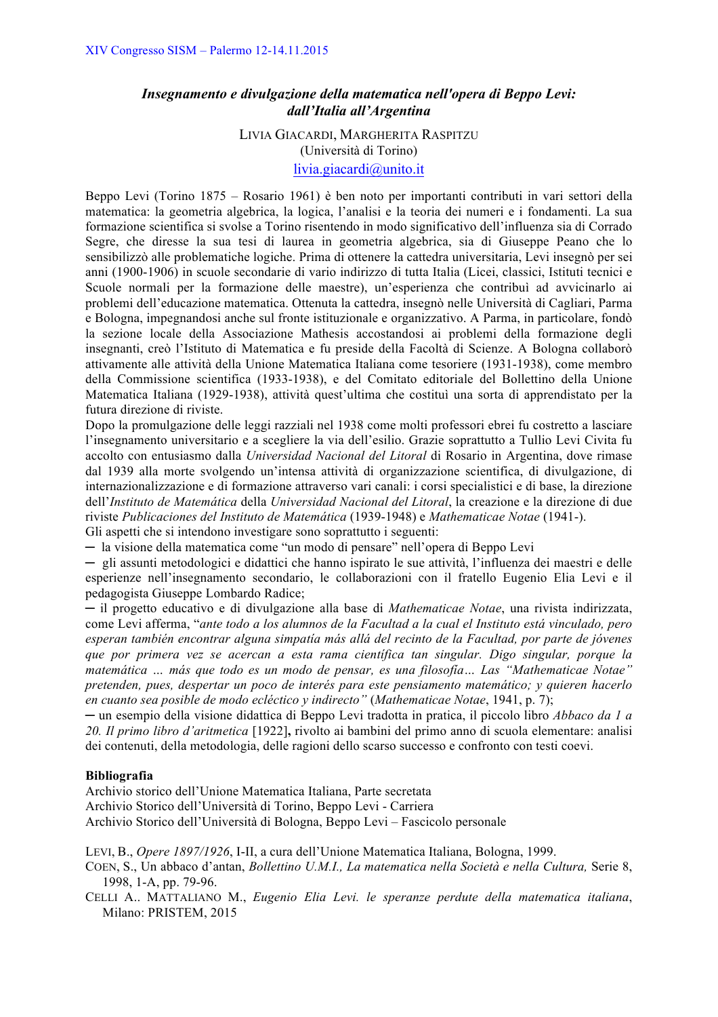# *Insegnamento e divulgazione della matematica nell'opera di Beppo Levi: dall'Italia all'Argentina*

LIVIA GIACARDI, MARGHERITA RASPITZU (Università di Torino) livia.giacardi@unito.it

Beppo Levi (Torino 1875 – Rosario 1961) è ben noto per importanti contributi in vari settori della matematica: la geometria algebrica, la logica, l'analisi e la teoria dei numeri e i fondamenti. La sua formazione scientifica si svolse a Torino risentendo in modo significativo dell'influenza sia di Corrado Segre, che diresse la sua tesi di laurea in geometria algebrica, sia di Giuseppe Peano che lo sensibilizzò alle problematiche logiche. Prima di ottenere la cattedra universitaria, Levi insegnò per sei anni (1900-1906) in scuole secondarie di vario indirizzo di tutta Italia (Licei, classici, Istituti tecnici e Scuole normali per la formazione delle maestre), un'esperienza che contribuì ad avvicinarlo ai problemi dell'educazione matematica. Ottenuta la cattedra, insegnò nelle Università di Cagliari, Parma e Bologna, impegnandosi anche sul fronte istituzionale e organizzativo. A Parma, in particolare, fondò la sezione locale della Associazione Mathesis accostandosi ai problemi della formazione degli insegnanti, creò l'Istituto di Matematica e fu preside della Facoltà di Scienze. A Bologna collaborò attivamente alle attività della Unione Matematica Italiana come tesoriere (1931-1938), come membro della Commissione scientifica (1933-1938), e del Comitato editoriale del Bollettino della Unione Matematica Italiana (1929-1938), attività quest'ultima che costituì una sorta di apprendistato per la futura direzione di riviste.

Dopo la promulgazione delle leggi razziali nel 1938 come molti professori ebrei fu costretto a lasciare l'insegnamento universitario e a scegliere la via dell'esilio. Grazie soprattutto a Tullio Levi Civita fu accolto con entusiasmo dalla *Universidad Nacional del Litoral* di Rosario in Argentina, dove rimase dal 1939 alla morte svolgendo un'intensa attività di organizzazione scientifica, di divulgazione, di internazionalizzazione e di formazione attraverso vari canali: i corsi specialistici e di base, la direzione dell'*Instituto de Matemática* della *Universidad Nacional del Litoral*, la creazione e la direzione di due riviste *Publicaciones del Instituto de Matemática* (1939-1948) e *Mathematicae Notae* (1941-). Gli aspetti che si intendono investigare sono soprattutto i seguenti:

─ la visione della matematica come "un modo di pensare" nell'opera di Beppo Levi

─ gli assunti metodologici e didattici che hanno ispirato le sue attività, l'influenza dei maestri e delle esperienze nell'insegnamento secondario, le collaborazioni con il fratello Eugenio Elia Levi e il pedagogista Giuseppe Lombardo Radice;

─ il progetto educativo e di divulgazione alla base di *Mathematicae Notae*, una rivista indirizzata, come Levi afferma, "*ante todo a los alumnos de la Facultad a la cual el Instituto está vinculado, pero esperan también encontrar alguna simpatía más allá del recinto de la Facultad, por parte de jóvenes que por primera vez se acercan a esta rama científica tan singular. Digo singular, porque la matemática … más que todo es un modo de pensar, es una filosofía… Las "Mathematicae Notae" pretenden, pues, despertar un poco de interés para este pensiamento matemático; y quieren hacerlo en cuanto sea posible de modo ecléctico y indirecto"* (*Mathematicae Notae*, 1941, p. 7);

─ un esempio della visione didattica di Beppo Levi tradotta in pratica, il piccolo libro *Abbaco da 1 a 20. Il primo libro d'aritmetica* [1922]**,** rivolto ai bambini del primo anno di scuola elementare: analisi dei contenuti, della metodologia, delle ragioni dello scarso successo e confronto con testi coevi.

# **Bibliografia**

Archivio storico dell'Unione Matematica Italiana, Parte secretata Archivio Storico dell'Università di Torino, Beppo Levi - Carriera Archivio Storico dell'Università di Bologna, Beppo Levi – Fascicolo personale

LEVI, B., *Opere 1897/1926*, I-II, a cura dell'Unione Matematica Italiana, Bologna, 1999.

- COEN, S., Un abbaco d'antan, *Bollettino U.M.I., La matematica nella Società e nella Cultura,* Serie 8, 1998, 1-A, pp. 79-96.
- CELLI A.. MATTALIANO M., *Eugenio Elia Levi. le speranze perdute della matematica italiana*, Milano: PRISTEM, 2015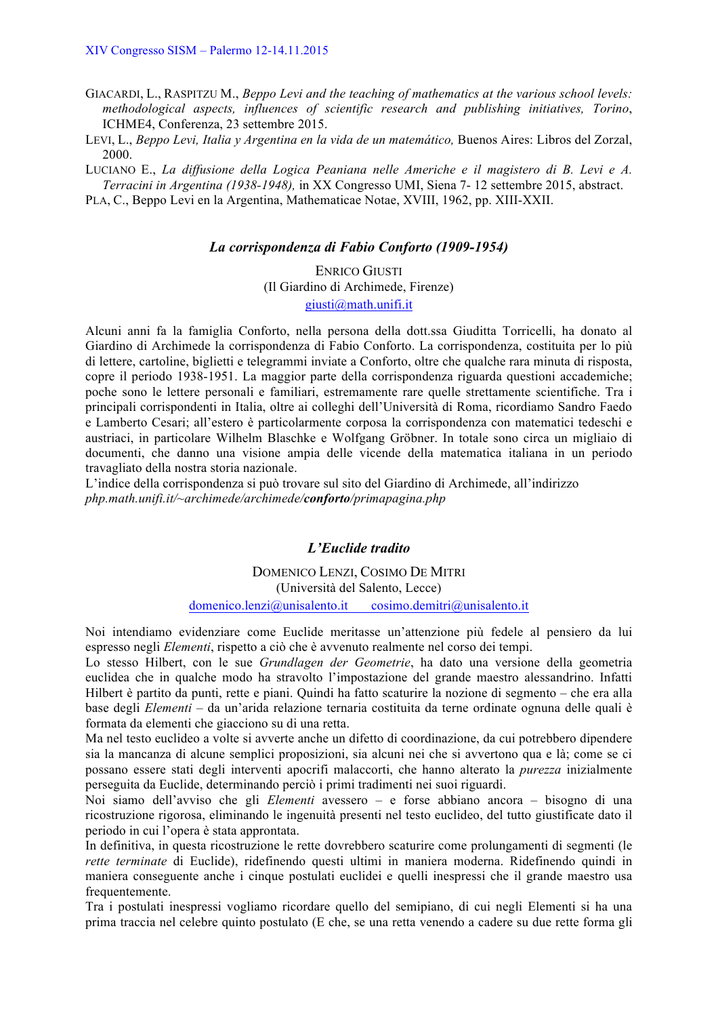GIACARDI, L., RASPITZU M., *Beppo Levi and the teaching of mathematics at the various school levels: methodological aspects, influences of scientific research and publishing initiatives, Torino*, ICHME4, Conferenza, 23 settembre 2015.

LEVI, L., *Beppo Levi, Italia y Argentina en la vida de un matemático,* Buenos Aires: Libros del Zorzal, 2000.

LUCIANO E., *La diffusione della Logica Peaniana nelle Americhe e il magistero di B. Levi e A. Terracini in Argentina (1938-1948),* in XX Congresso UMI, Siena 7- 12 settembre 2015, abstract.

PLA, C., Beppo Levi en la Argentina, Mathematicae Notae, XVIII, 1962, pp. XIII-XXII.

#### *La corrispondenza di Fabio Conforto (1909-1954)*

ENRICO GIUSTI (Il Giardino di Archimede, Firenze) giusti@math.unifi.it

Alcuni anni fa la famiglia Conforto, nella persona della dott.ssa Giuditta Torricelli, ha donato al Giardino di Archimede la corrispondenza di Fabio Conforto. La corrispondenza, costituita per lo più di lettere, cartoline, biglietti e telegrammi inviate a Conforto, oltre che qualche rara minuta di risposta, copre il periodo 1938-1951. La maggior parte della corrispondenza riguarda questioni accademiche; poche sono le lettere personali e familiari, estremamente rare quelle strettamente scientifiche. Tra i principali corrispondenti in Italia, oltre ai colleghi dell'Università di Roma, ricordiamo Sandro Faedo e Lamberto Cesari; all'estero è particolarmente corposa la corrispondenza con matematici tedeschi e austriaci, in particolare Wilhelm Blaschke e Wolfgang Gröbner. In totale sono circa un migliaio di documenti, che danno una visione ampia delle vicende della matematica italiana in un periodo travagliato della nostra storia nazionale.

L'indice della corrispondenza si può trovare sul sito del Giardino di Archimede, all'indirizzo *php.math.unifi.it/~archimede/archimede/conforto/primapagina.php*

# *L'Euclide tradito*

DOMENICO LENZI, COSIMO DE MITRI (Università del Salento, Lecce) domenico.lenzi@unisalento.it cosimo.demitri@unisalento.it

Noi intendiamo evidenziare come Euclide meritasse un'attenzione più fedele al pensiero da lui espresso negli *Elementi*, rispetto a ciò che è avvenuto realmente nel corso dei tempi.

Lo stesso Hilbert, con le sue *Grundlagen der Geometrie*, ha dato una versione della geometria euclidea che in qualche modo ha stravolto l'impostazione del grande maestro alessandrino. Infatti Hilbert è partito da punti, rette e piani. Quindi ha fatto scaturire la nozione di segmento – che era alla base degli *Elementi* – da un'arida relazione ternaria costituita da terne ordinate ognuna delle quali è formata da elementi che giacciono su di una retta.

Ma nel testo euclideo a volte si avverte anche un difetto di coordinazione, da cui potrebbero dipendere sia la mancanza di alcune semplici proposizioni, sia alcuni nei che si avvertono qua e là; come se ci possano essere stati degli interventi apocrifi malaccorti, che hanno alterato la *purezza* inizialmente perseguita da Euclide, determinando perciò i primi tradimenti nei suoi riguardi.

Noi siamo dell'avviso che gli *Elementi* avessero – e forse abbiano ancora – bisogno di una ricostruzione rigorosa, eliminando le ingenuità presenti nel testo euclideo, del tutto giustificate dato il periodo in cui l'opera è stata approntata.

In definitiva, in questa ricostruzione le rette dovrebbero scaturire come prolungamenti di segmenti (le *rette terminate* di Euclide), ridefinendo questi ultimi in maniera moderna. Ridefinendo quindi in maniera conseguente anche i cinque postulati euclidei e quelli inespressi che il grande maestro usa frequentemente.

Tra i postulati inespressi vogliamo ricordare quello del semipiano, di cui negli Elementi si ha una prima traccia nel celebre quinto postulato (E che, se una retta venendo a cadere su due rette forma gli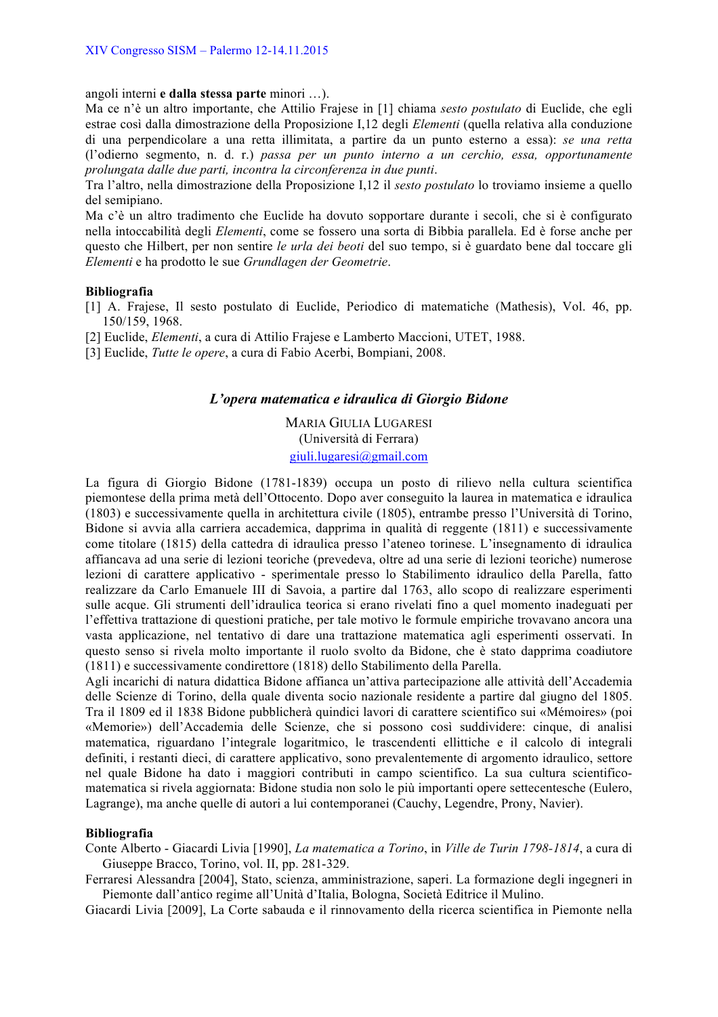angoli interni **e dalla stessa parte** minori …).

Ma ce n'è un altro importante, che Attilio Frajese in [1] chiama *sesto postulato* di Euclide, che egli estrae così dalla dimostrazione della Proposizione I,12 degli *Elementi* (quella relativa alla conduzione di una perpendicolare a una retta illimitata, a partire da un punto esterno a essa): *se una retta*  (l'odierno segmento, n. d. r.) *passa per un punto interno a un cerchio, essa, opportunamente prolungata dalle due parti, incontra la circonferenza in due punti*.

Tra l'altro, nella dimostrazione della Proposizione I,12 il *sesto postulato* lo troviamo insieme a quello del semipiano.

Ma c'è un altro tradimento che Euclide ha dovuto sopportare durante i secoli, che si è configurato nella intoccabilità degli *Elementi*, come se fossero una sorta di Bibbia parallela. Ed è forse anche per questo che Hilbert, per non sentire *le urla dei beoti* del suo tempo, si è guardato bene dal toccare gli *Elementi* e ha prodotto le sue *Grundlagen der Geometrie*.

### **Bibliografia**

- [1] A. Frajese, Il sesto postulato di Euclide, Periodico di matematiche (Mathesis), Vol. 46, pp. 150/159, 1968.
- [2] Euclide, *Elementi*, a cura di Attilio Frajese e Lamberto Maccioni, UTET, 1988.
- [3] Euclide, *Tutte le opere*, a cura di Fabio Acerbi, Bompiani, 2008.

### *L'opera matematica e idraulica di Giorgio Bidone*

MARIA GIULIA LUGARESI (Università di Ferrara) giuli.lugaresi@gmail.com

La figura di Giorgio Bidone (1781-1839) occupa un posto di rilievo nella cultura scientifica piemontese della prima metà dell'Ottocento. Dopo aver conseguito la laurea in matematica e idraulica (1803) e successivamente quella in architettura civile (1805), entrambe presso l'Università di Torino, Bidone si avvia alla carriera accademica, dapprima in qualità di reggente (1811) e successivamente come titolare (1815) della cattedra di idraulica presso l'ateneo torinese. L'insegnamento di idraulica affiancava ad una serie di lezioni teoriche (prevedeva, oltre ad una serie di lezioni teoriche) numerose lezioni di carattere applicativo - sperimentale presso lo Stabilimento idraulico della Parella, fatto realizzare da Carlo Emanuele III di Savoia, a partire dal 1763, allo scopo di realizzare esperimenti sulle acque. Gli strumenti dell'idraulica teorica si erano rivelati fino a quel momento inadeguati per l'effettiva trattazione di questioni pratiche, per tale motivo le formule empiriche trovavano ancora una vasta applicazione, nel tentativo di dare una trattazione matematica agli esperimenti osservati. In questo senso si rivela molto importante il ruolo svolto da Bidone, che è stato dapprima coadiutore (1811) e successivamente condirettore (1818) dello Stabilimento della Parella.

Agli incarichi di natura didattica Bidone affianca un'attiva partecipazione alle attività dell'Accademia delle Scienze di Torino, della quale diventa socio nazionale residente a partire dal giugno del 1805. Tra il 1809 ed il 1838 Bidone pubblicherà quindici lavori di carattere scientifico sui «Mémoires» (poi «Memorie») dell'Accademia delle Scienze, che si possono così suddividere: cinque, di analisi matematica, riguardano l'integrale logaritmico, le trascendenti ellittiche e il calcolo di integrali definiti, i restanti dieci, di carattere applicativo, sono prevalentemente di argomento idraulico, settore nel quale Bidone ha dato i maggiori contributi in campo scientifico. La sua cultura scientificomatematica si rivela aggiornata: Bidone studia non solo le più importanti opere settecentesche (Eulero, Lagrange), ma anche quelle di autori a lui contemporanei (Cauchy, Legendre, Prony, Navier).

### **Bibliografia**

Conte Alberto - Giacardi Livia [1990], *La matematica a Torino*, in *Ville de Turin 1798-1814*, a cura di Giuseppe Bracco, Torino, vol. II, pp. 281-329.

Ferraresi Alessandra [2004], Stato, scienza, amministrazione, saperi. La formazione degli ingegneri in Piemonte dall'antico regime all'Unità d'Italia, Bologna, Società Editrice il Mulino.

Giacardi Livia [2009], La Corte sabauda e il rinnovamento della ricerca scientifica in Piemonte nella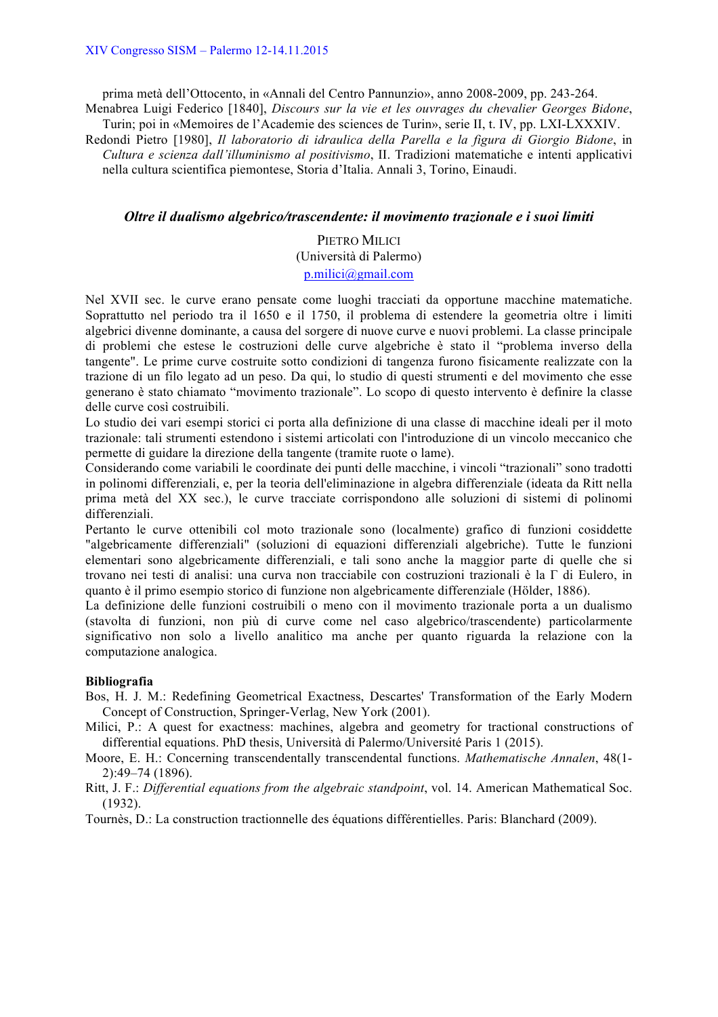prima metà dell'Ottocento, in «Annali del Centro Pannunzio», anno 2008-2009, pp. 243-264. Menabrea Luigi Federico [1840], *Discours sur la vie et les ouvrages du chevalier Georges Bidone*,

Turin; poi in «Memoires de l'Academie des sciences de Turin», serie II, t. IV, pp. LXI-LXXXIV.

Redondi Pietro [1980], *Il laboratorio di idraulica della Parella e la figura di Giorgio Bidone*, in *Cultura e scienza dall'illuminismo al positivismo*, II. Tradizioni matematiche e intenti applicativi nella cultura scientifica piemontese, Storia d'Italia. Annali 3, Torino, Einaudi.

### *Oltre il dualismo algebrico/trascendente: il movimento trazionale e i suoi limiti*

# PIETRO MILICI (Università di Palermo) p.milici@gmail.com

Nel XVII sec. le curve erano pensate come luoghi tracciati da opportune macchine matematiche. Soprattutto nel periodo tra il 1650 e il 1750, il problema di estendere la geometria oltre i limiti algebrici divenne dominante, a causa del sorgere di nuove curve e nuovi problemi. La classe principale di problemi che estese le costruzioni delle curve algebriche è stato il "problema inverso della tangente". Le prime curve costruite sotto condizioni di tangenza furono fisicamente realizzate con la trazione di un filo legato ad un peso. Da qui, lo studio di questi strumenti e del movimento che esse generano è stato chiamato "movimento trazionale". Lo scopo di questo intervento è definire la classe delle curve così costruibili.

Lo studio dei vari esempi storici ci porta alla definizione di una classe di macchine ideali per il moto trazionale: tali strumenti estendono i sistemi articolati con l'introduzione di un vincolo meccanico che permette di guidare la direzione della tangente (tramite ruote o lame).

Considerando come variabili le coordinate dei punti delle macchine, i vincoli "trazionali" sono tradotti in polinomi differenziali, e, per la teoria dell'eliminazione in algebra differenziale (ideata da Ritt nella prima metà del XX sec.), le curve tracciate corrispondono alle soluzioni di sistemi di polinomi differenziali.

Pertanto le curve ottenibili col moto trazionale sono (localmente) grafico di funzioni cosiddette "algebricamente differenziali" (soluzioni di equazioni differenziali algebriche). Tutte le funzioni elementari sono algebricamente differenziali, e tali sono anche la maggior parte di quelle che si trovano nei testi di analisi: una curva non tracciabile con costruzioni trazionali è la Γ di Eulero, in quanto è il primo esempio storico di funzione non algebricamente differenziale (Hölder, 1886).

La definizione delle funzioni costruibili o meno con il movimento trazionale porta a un dualismo (stavolta di funzioni, non più di curve come nel caso algebrico/trascendente) particolarmente significativo non solo a livello analitico ma anche per quanto riguarda la relazione con la computazione analogica.

### **Bibliografia**

- Bos, H. J. M.: Redefining Geometrical Exactness, Descartes' Transformation of the Early Modern Concept of Construction, Springer-Verlag, New York (2001).
- Milici, P.: A quest for exactness: machines, algebra and geometry for tractional constructions of differential equations. PhD thesis, Università di Palermo/Université Paris 1 (2015).

Moore, E. H.: Concerning transcendentally transcendental functions. *Mathematische Annalen*, 48(1- 2):49–74 (1896).

Ritt, J. F.: *Differential equations from the algebraic standpoint*, vol. 14. American Mathematical Soc. (1932).

Tournès, D.: La construction tractionnelle des équations différentielles. Paris: Blanchard (2009).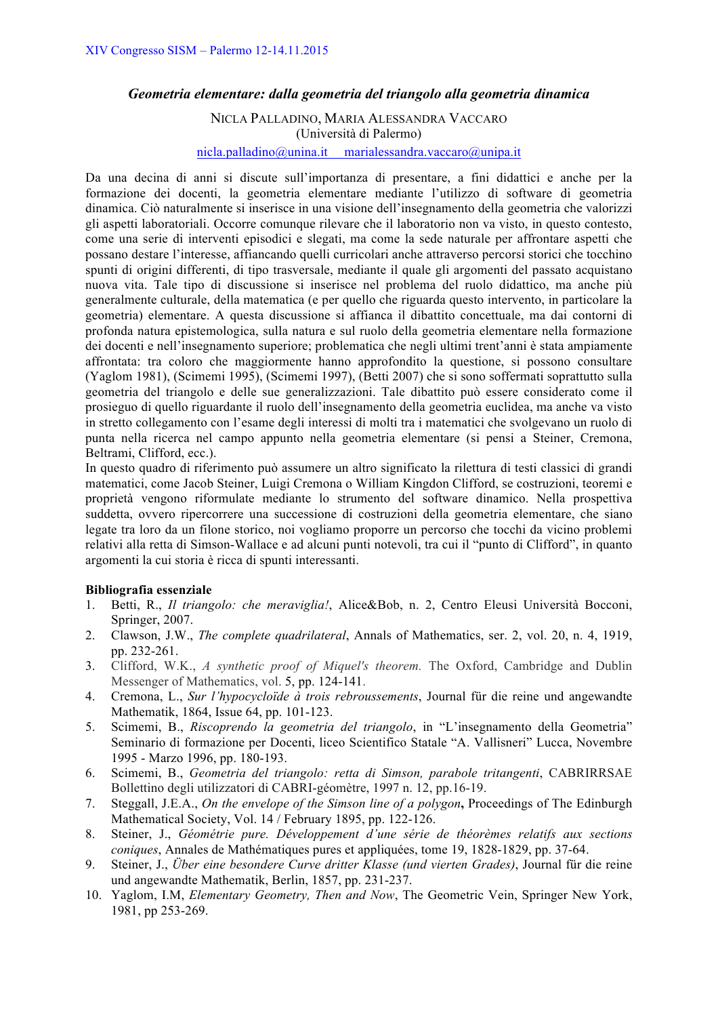# *Geometria elementare: dalla geometria del triangolo alla geometria dinamica*

# NICLA PALLADINO, MARIA ALESSANDRA VACCARO (Università di Palermo) nicla.palladino@unina.it marialessandra.vaccaro@unipa.it

Da una decina di anni si discute sull'importanza di presentare, a fini didattici e anche per la formazione dei docenti, la geometria elementare mediante l'utilizzo di software di geometria dinamica. Ciò naturalmente si inserisce in una visione dell'insegnamento della geometria che valorizzi gli aspetti laboratoriali. Occorre comunque rilevare che il laboratorio non va visto, in questo contesto, come una serie di interventi episodici e slegati, ma come la sede naturale per affrontare aspetti che possano destare l'interesse, affiancando quelli curricolari anche attraverso percorsi storici che tocchino spunti di origini differenti, di tipo trasversale, mediante il quale gli argomenti del passato acquistano nuova vita. Tale tipo di discussione si inserisce nel problema del ruolo didattico, ma anche più generalmente culturale, della matematica (e per quello che riguarda questo intervento, in particolare la geometria) elementare. A questa discussione si affianca il dibattito concettuale, ma dai contorni di profonda natura epistemologica, sulla natura e sul ruolo della geometria elementare nella formazione dei docenti e nell'insegnamento superiore; problematica che negli ultimi trent'anni è stata ampiamente affrontata: tra coloro che maggiormente hanno approfondito la questione, si possono consultare (Yaglom 1981), (Scimemi 1995), (Scimemi 1997), (Betti 2007) che si sono soffermati soprattutto sulla geometria del triangolo e delle sue generalizzazioni. Tale dibattito può essere considerato come il prosieguo di quello riguardante il ruolo dell'insegnamento della geometria euclidea, ma anche va visto in stretto collegamento con l'esame degli interessi di molti tra i matematici che svolgevano un ruolo di punta nella ricerca nel campo appunto nella geometria elementare (si pensi a Steiner, Cremona, Beltrami, Clifford, ecc.).

In questo quadro di riferimento può assumere un altro significato la rilettura di testi classici di grandi matematici, come Jacob Steiner, Luigi Cremona o William Kingdon Clifford, se costruzioni, teoremi e proprietà vengono riformulate mediante lo strumento del software dinamico. Nella prospettiva suddetta, ovvero ripercorrere una successione di costruzioni della geometria elementare, che siano legate tra loro da un filone storico, noi vogliamo proporre un percorso che tocchi da vicino problemi relativi alla retta di Simson-Wallace e ad alcuni punti notevoli, tra cui il "punto di Clifford", in quanto argomenti la cui storia è ricca di spunti interessanti.

# **Bibliografia essenziale**

- 1. Betti, R., *Il triangolo: che meraviglia!*, Alice&Bob, n. 2, Centro Eleusi Università Bocconi, Springer, 2007.
- 2. Clawson, J.W., *The complete quadrilateral*, Annals of Mathematics, ser. 2, vol. 20, n. 4, 1919, pp. 232-261.
- 3. Clifford, W.K., *A synthetic proof of Miquel's theorem.* The Oxford, Cambridge and Dublin Messenger of Mathematics, vol. 5, pp. 124-141.
- 4. Cremona, L., *Sur l'hypocycloïde à trois rebroussements*, Journal für die reine und angewandte Mathematik, 1864, Issue 64, pp. 101-123.
- 5. Scimemi, B., *Riscoprendo la geometria del triangolo*, in "L'insegnamento della Geometria" Seminario di formazione per Docenti, liceo Scientifico Statale "A. Vallisneri" Lucca, Novembre 1995 - Marzo 1996, pp. 180-193.
- 6. Scimemi, B., *Geometria del triangolo: retta di Simson, parabole tritangenti*, CABRIRRSAE Bollettino degli utilizzatori di CABRI-géomètre, 1997 n. 12, pp.16-19.
- 7. Steggall, J.E.A., *On the envelope of the Simson line of a polygon***,** Proceedings of The Edinburgh Mathematical Society, Vol. 14 / February 1895, pp. 122-126.
- 8. Steiner, J., *Géométrie pure. Développement d'une série de théorèmes relatifs aux sections coniques*, Annales de Mathématiques pures et appliquées, tome 19, 1828-1829, pp. 37-64.
- 9. Steiner, J., *Über eine besondere Curve dritter Klasse (und vierten Grades)*, Journal für die reine und angewandte Mathematik, Berlin, 1857, pp. 231-237.
- 10. Yaglom, I.M, *Elementary Geometry, Then and Now*, The Geometric Vein, Springer New York, 1981, pp 253-269.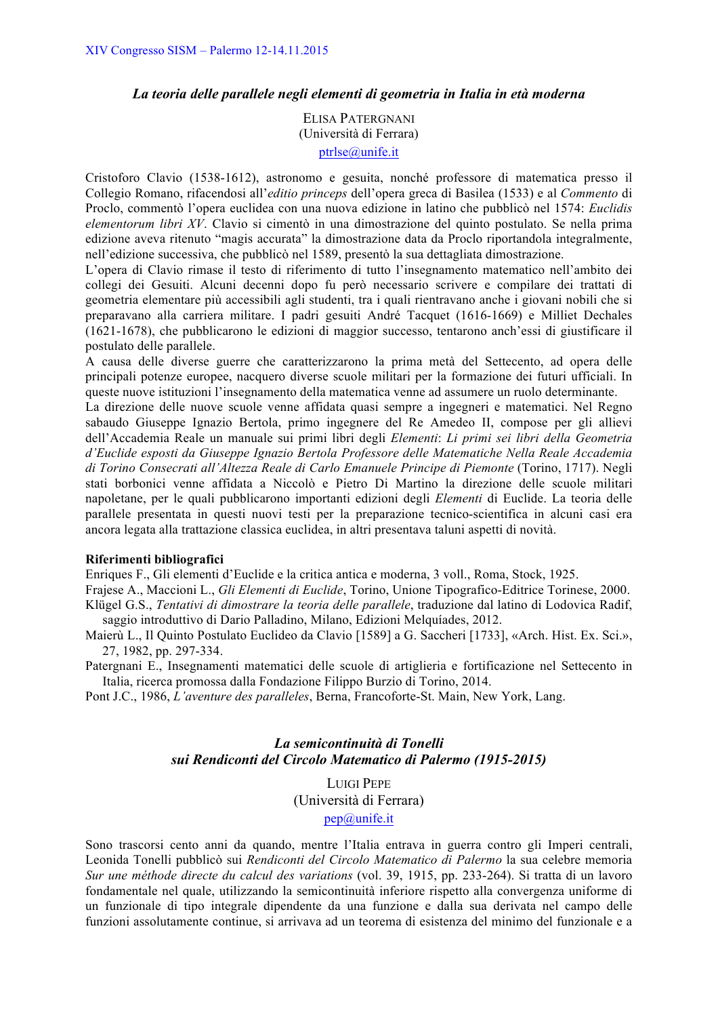### *La teoria delle parallele negli elementi di geometria in Italia in età moderna*

ELISA PATERGNANI (Università di Ferrara) ptrlse@unife.it

Cristoforo Clavio (1538-1612), astronomo e gesuita, nonché professore di matematica presso il Collegio Romano, rifacendosi all'*editio princeps* dell'opera greca di Basilea (1533) e al *Commento* di Proclo, commentò l'opera euclidea con una nuova edizione in latino che pubblicò nel 1574: *Euclidis elementorum libri XV*. Clavio si cimentò in una dimostrazione del quinto postulato. Se nella prima edizione aveva ritenuto "magis accurata" la dimostrazione data da Proclo riportandola integralmente, nell'edizione successiva, che pubblicò nel 1589, presentò la sua dettagliata dimostrazione.

L'opera di Clavio rimase il testo di riferimento di tutto l'insegnamento matematico nell'ambito dei collegi dei Gesuiti. Alcuni decenni dopo fu però necessario scrivere e compilare dei trattati di geometria elementare più accessibili agli studenti, tra i quali rientravano anche i giovani nobili che si preparavano alla carriera militare. I padri gesuiti André Tacquet (1616-1669) e Milliet Dechales (1621-1678), che pubblicarono le edizioni di maggior successo, tentarono anch'essi di giustificare il postulato delle parallele.

A causa delle diverse guerre che caratterizzarono la prima metà del Settecento, ad opera delle principali potenze europee, nacquero diverse scuole militari per la formazione dei futuri ufficiali. In queste nuove istituzioni l'insegnamento della matematica venne ad assumere un ruolo determinante.

La direzione delle nuove scuole venne affidata quasi sempre a ingegneri e matematici. Nel Regno sabaudo Giuseppe Ignazio Bertola, primo ingegnere del Re Amedeo II, compose per gli allievi dell'Accademia Reale un manuale sui primi libri degli *Elementi*: *Li primi sei libri della Geometria d'Euclide esposti da Giuseppe Ignazio Bertola Professore delle Matematiche Nella Reale Accademia di Torino Consecrati all'Altezza Reale di Carlo Emanuele Principe di Piemonte* (Torino, 1717). Negli stati borbonici venne affidata a Niccolò e Pietro Di Martino la direzione delle scuole militari napoletane, per le quali pubblicarono importanti edizioni degli *Elementi* di Euclide. La teoria delle parallele presentata in questi nuovi testi per la preparazione tecnico-scientifica in alcuni casi era ancora legata alla trattazione classica euclidea, in altri presentava taluni aspetti di novità.

#### **Riferimenti bibliografici**

Enriques F., Gli elementi d'Euclide e la critica antica e moderna, 3 voll., Roma, Stock, 1925.

Frajese A., Maccioni L., *Gli Elementi di Euclide*, Torino, Unione Tipografico-Editrice Torinese, 2000. Klügel G.S., *Tentativi di dimostrare la teoria delle parallele*, traduzione dal latino di Lodovica Radif, saggio introduttivo di Dario Palladino, Milano, Edizioni Melquíades, 2012.

Maierù L., Il Quinto Postulato Euclideo da Clavio [1589] a G. Saccheri [1733], «Arch. Hist. Ex. Sci.», 27, 1982, pp. 297-334.

Patergnani E., Insegnamenti matematici delle scuole di artiglieria e fortificazione nel Settecento in Italia, ricerca promossa dalla Fondazione Filippo Burzio di Torino, 2014.

Pont J.C., 1986, *L'aventure des paralleles*, Berna, Francoforte-St. Main, New York, Lang.

# *La semicontinuità di Tonelli sui Rendiconti del Circolo Matematico di Palermo (1915-2015)*

LUIGI PEPE (Università di Ferrara) pep@unife.it

Sono trascorsi cento anni da quando, mentre l'Italia entrava in guerra contro gli Imperi centrali, Leonida Tonelli pubblicò sui *Rendiconti del Circolo Matematico di Palermo* la sua celebre memoria *Sur une méthode directe du calcul des variations* (vol. 39, 1915, pp. 233-264). Si tratta di un lavoro fondamentale nel quale, utilizzando la semicontinuità inferiore rispetto alla convergenza uniforme di un funzionale di tipo integrale dipendente da una funzione e dalla sua derivata nel campo delle funzioni assolutamente continue, si arrivava ad un teorema di esistenza del minimo del funzionale e a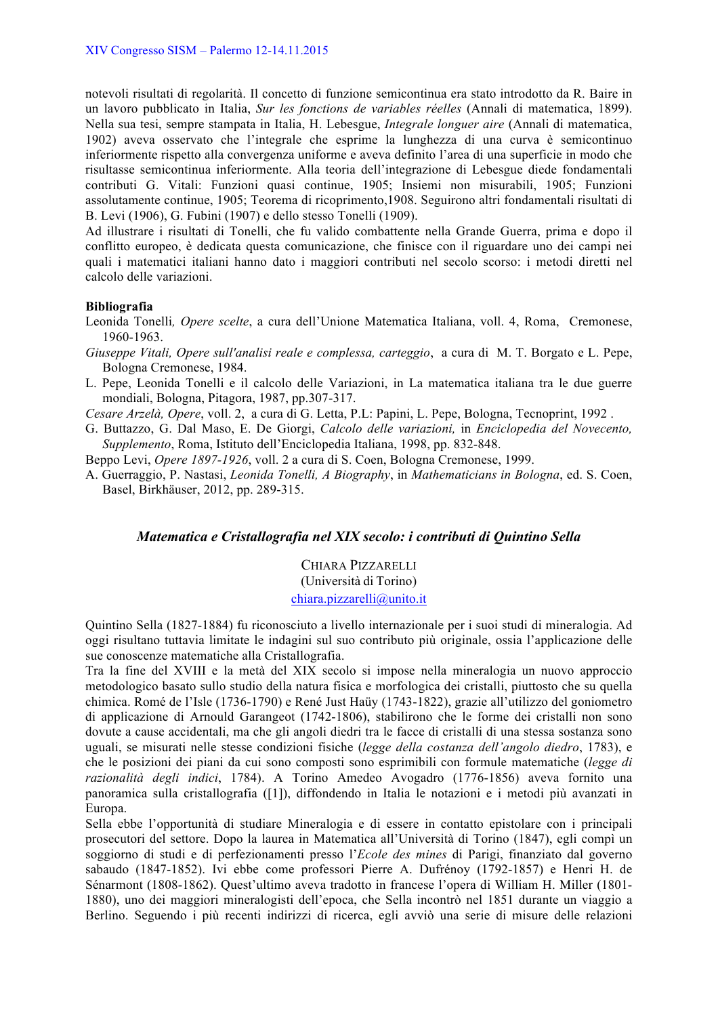notevoli risultati di regolarità. Il concetto di funzione semicontinua era stato introdotto da R. Baire in un lavoro pubblicato in Italia, *Sur les fonctions de variables réelles* (Annali di matematica, 1899). Nella sua tesi, sempre stampata in Italia, H. Lebesgue, *Integrale longuer aire* (Annali di matematica, 1902) aveva osservato che l'integrale che esprime la lunghezza di una curva è semicontinuo inferiormente rispetto alla convergenza uniforme e aveva definito l'area di una superficie in modo che risultasse semicontinua inferiormente. Alla teoria dell'integrazione di Lebesgue diede fondamentali contributi G. Vitali: Funzioni quasi continue, 1905; Insiemi non misurabili, 1905; Funzioni assolutamente continue, 1905; Teorema di ricoprimento,1908. Seguirono altri fondamentali risultati di B. Levi (1906), G. Fubini (1907) e dello stesso Tonelli (1909).

Ad illustrare i risultati di Tonelli, che fu valido combattente nella Grande Guerra, prima e dopo il conflitto europeo, è dedicata questa comunicazione, che finisce con il riguardare uno dei campi nei quali i matematici italiani hanno dato i maggiori contributi nel secolo scorso: i metodi diretti nel calcolo delle variazioni.

### **Bibliografia**

- Leonida Tonelli*, Opere scelte*, a cura dell'Unione Matematica Italiana, voll. 4, Roma, Cremonese, 1960-1963.
- *Giuseppe Vitali, Opere sull'analisi reale e complessa, carteggio*, a cura di M. T. Borgato e L. Pepe, Bologna Cremonese, 1984.
- L. Pepe, Leonida Tonelli e il calcolo delle Variazioni, in La matematica italiana tra le due guerre mondiali, Bologna, Pitagora, 1987, pp.307-317.

*Cesare Arzelà, Opere*, voll. 2, a cura di G. Letta, P.L: Papini, L. Pepe, Bologna, Tecnoprint, 1992 .

- G. Buttazzo, G. Dal Maso, E. De Giorgi, *Calcolo delle variazioni,* in *Enciclopedia del Novecento, Supplemento*, Roma, Istituto dell'Enciclopedia Italiana, 1998, pp. 832-848.
- Beppo Levi, *Opere 1897-1926*, voll. 2 a cura di S. Coen, Bologna Cremonese, 1999.
- A. Guerraggio, P. Nastasi, *Leonida Tonelli, A Biography*, in *Mathematicians in Bologna*, ed. S. Coen, Basel, Birkhäuser, 2012, pp. 289-315.

# *Matematica e Cristallografia nel XIX secolo: i contributi di Quintino Sella*

CHIARA PIZZARELLI (Università di Torino) chiara.pizzarelli@unito.it

Quintino Sella (1827-1884) fu riconosciuto a livello internazionale per i suoi studi di mineralogia. Ad oggi risultano tuttavia limitate le indagini sul suo contributo più originale, ossia l'applicazione delle sue conoscenze matematiche alla Cristallografia.

Tra la fine del XVIII e la metà del XIX secolo si impose nella mineralogia un nuovo approccio metodologico basato sullo studio della natura fisica e morfologica dei cristalli, piuttosto che su quella chimica. Romé de l'Isle (1736-1790) e René Just Haüy (1743-1822), grazie all'utilizzo del goniometro di applicazione di Arnould Garangeot (1742-1806), stabilirono che le forme dei cristalli non sono dovute a cause accidentali, ma che gli angoli diedri tra le facce di cristalli di una stessa sostanza sono uguali, se misurati nelle stesse condizioni fisiche (*legge della costanza dell'angolo diedro*, 1783), e che le posizioni dei piani da cui sono composti sono esprimibili con formule matematiche (*legge di razionalità degli indici*, 1784). A Torino Amedeo Avogadro (1776-1856) aveva fornito una panoramica sulla cristallografia ([1]), diffondendo in Italia le notazioni e i metodi più avanzati in Europa.

Sella ebbe l'opportunità di studiare Mineralogia e di essere in contatto epistolare con i principali prosecutori del settore. Dopo la laurea in Matematica all'Università di Torino (1847), egli compì un soggiorno di studi e di perfezionamenti presso l'*Ecole des mines* di Parigi, finanziato dal governo sabaudo (1847-1852). Ivi ebbe come professori Pierre A. Dufrénoy (1792-1857) e Henri H. de Sénarmont (1808-1862). Quest'ultimo aveva tradotto in francese l'opera di William H. Miller (1801- 1880), uno dei maggiori mineralogisti dell'epoca, che Sella incontrò nel 1851 durante un viaggio a Berlino. Seguendo i più recenti indirizzi di ricerca, egli avviò una serie di misure delle relazioni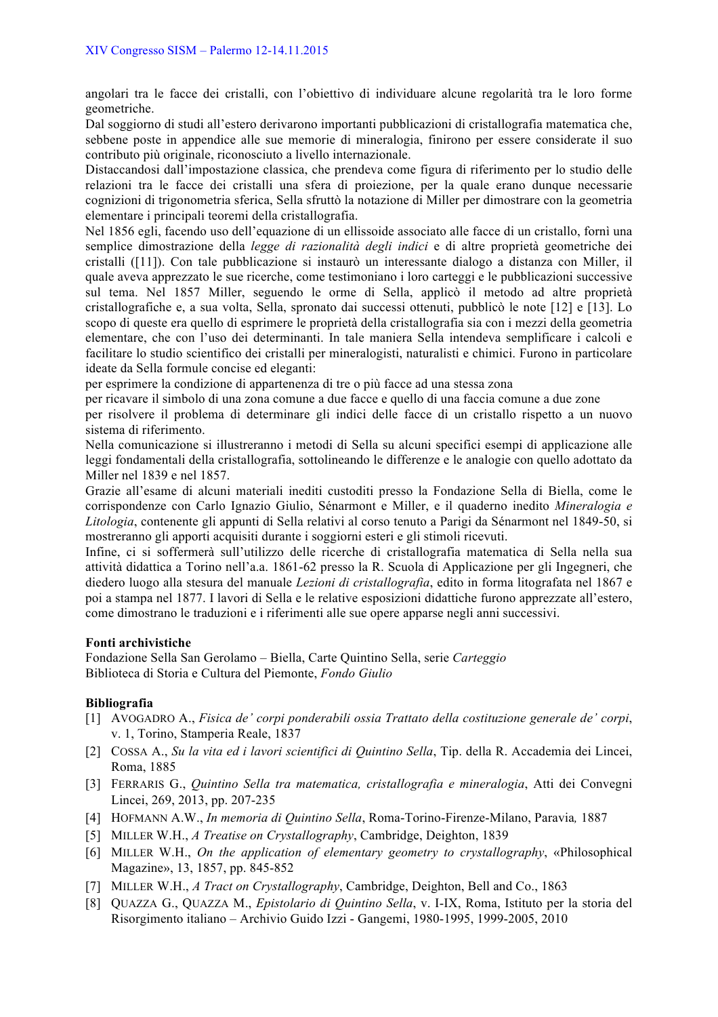angolari tra le facce dei cristalli, con l'obiettivo di individuare alcune regolarità tra le loro forme geometriche.

Dal soggiorno di studi all'estero derivarono importanti pubblicazioni di cristallografia matematica che, sebbene poste in appendice alle sue memorie di mineralogia, finirono per essere considerate il suo contributo più originale, riconosciuto a livello internazionale.

Distaccandosi dall'impostazione classica, che prendeva come figura di riferimento per lo studio delle relazioni tra le facce dei cristalli una sfera di proiezione, per la quale erano dunque necessarie cognizioni di trigonometria sferica, Sella sfruttò la notazione di Miller per dimostrare con la geometria elementare i principali teoremi della cristallografia.

Nel 1856 egli, facendo uso dell'equazione di un ellissoide associato alle facce di un cristallo, fornì una semplice dimostrazione della *legge di razionalità degli indici* e di altre proprietà geometriche dei cristalli ([11]). Con tale pubblicazione si instaurò un interessante dialogo a distanza con Miller, il quale aveva apprezzato le sue ricerche, come testimoniano i loro carteggi e le pubblicazioni successive sul tema. Nel 1857 Miller, seguendo le orme di Sella, applicò il metodo ad altre proprietà cristallografiche e, a sua volta, Sella, spronato dai successi ottenuti, pubblicò le note [12] e [13]. Lo scopo di queste era quello di esprimere le proprietà della cristallografia sia con i mezzi della geometria elementare, che con l'uso dei determinanti. In tale maniera Sella intendeva semplificare i calcoli e facilitare lo studio scientifico dei cristalli per mineralogisti, naturalisti e chimici. Furono in particolare ideate da Sella formule concise ed eleganti:

per esprimere la condizione di appartenenza di tre o più facce ad una stessa zona

per ricavare il simbolo di una zona comune a due facce e quello di una faccia comune a due zone per risolvere il problema di determinare gli indici delle facce di un cristallo rispetto a un nuovo sistema di riferimento.

Nella comunicazione si illustreranno i metodi di Sella su alcuni specifici esempi di applicazione alle leggi fondamentali della cristallografia, sottolineando le differenze e le analogie con quello adottato da Miller nel 1839 e nel 1857.

Grazie all'esame di alcuni materiali inediti custoditi presso la Fondazione Sella di Biella, come le corrispondenze con Carlo Ignazio Giulio, Sénarmont e Miller, e il quaderno inedito *Mineralogia e Litologia*, contenente gli appunti di Sella relativi al corso tenuto a Parigi da Sénarmont nel 1849-50, si mostreranno gli apporti acquisiti durante i soggiorni esteri e gli stimoli ricevuti.

Infine, ci si soffermerà sull'utilizzo delle ricerche di cristallografia matematica di Sella nella sua attività didattica a Torino nell'a.a. 1861-62 presso la R. Scuola di Applicazione per gli Ingegneri, che diedero luogo alla stesura del manuale *Lezioni di cristallografia*, edito in forma litografata nel 1867 e poi a stampa nel 1877. I lavori di Sella e le relative esposizioni didattiche furono apprezzate all'estero, come dimostrano le traduzioni e i riferimenti alle sue opere apparse negli anni successivi.

# **Fonti archivistiche**

Fondazione Sella San Gerolamo – Biella, Carte Quintino Sella, serie *Carteggio* Biblioteca di Storia e Cultura del Piemonte, *Fondo Giulio*

# **Bibliografia**

- [1] AVOGADRO A., *Fisica de' corpi ponderabili ossia Trattato della costituzione generale de' corpi*, v. 1, Torino, Stamperia Reale, 1837
- [2] COSSA A., *Su la vita ed i lavori scientifici di Quintino Sella*, Tip. della R. Accademia dei Lincei, Roma, 1885
- [3] FERRARIS G., *Quintino Sella tra matematica, cristallografia e mineralogia*, Atti dei Convegni Lincei, 269, 2013, pp. 207-235
- [4] HOFMANN A.W., *In memoria di Quintino Sella*, Roma-Torino-Firenze-Milano, Paravia*,* 1887
- [5] MILLER W.H., *A Treatise on Crystallography*, Cambridge, Deighton, 1839
- [6] MILLER W.H., *On the application of elementary geometry to crystallography*, «Philosophical Magazine», 13, 1857, pp. 845-852
- [7] MILLER W.H., *A Tract on Crystallography*, Cambridge, Deighton, Bell and Co., 1863
- [8] QUAZZA G., QUAZZA M., *Epistolario di Quintino Sella*, v. I-IX, Roma, Istituto per la storia del Risorgimento italiano – Archivio Guido Izzi - Gangemi, 1980-1995, 1999-2005, 2010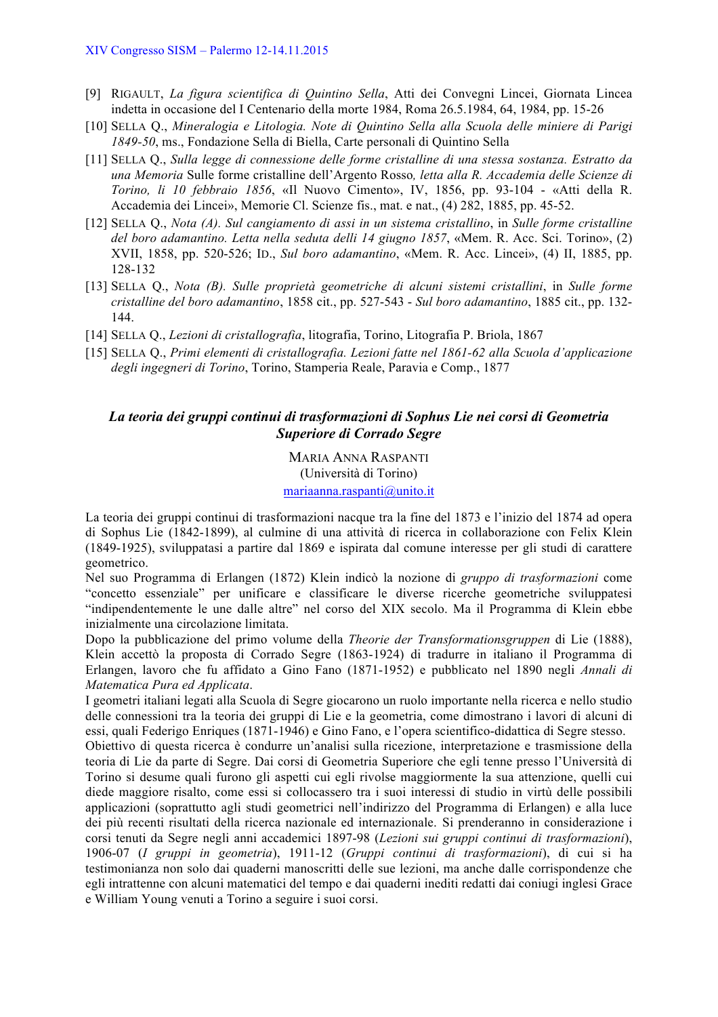- [9] RIGAULT, *La figura scientifica di Quintino Sella*, Atti dei Convegni Lincei, Giornata Lincea indetta in occasione del I Centenario della morte 1984, Roma 26.5.1984, 64, 1984, pp. 15-26
- [10] SELLA Q., *Mineralogia e Litologia. Note di Quintino Sella alla Scuola delle miniere di Parigi 1849-50*, ms., Fondazione Sella di Biella, Carte personali di Quintino Sella
- [11] SELLA Q., *Sulla legge di connessione delle forme cristalline di una stessa sostanza. Estratto da una Memoria* Sulle forme cristalline dell'Argento Rosso*, letta alla R. Accademia delle Scienze di Torino, li 10 febbraio 1856*, «Il Nuovo Cimento», IV, 1856, pp. 93-104 - «Atti della R. Accademia dei Lincei», Memorie Cl. Scienze fis., mat. e nat., (4) 282, 1885, pp. 45-52.
- [12] SELLA Q., *Nota (A). Sul cangiamento di assi in un sistema cristallino*, in *Sulle forme cristalline del boro adamantino. Letta nella seduta delli 14 giugno 1857*, «Mem. R. Acc. Sci. Torino», (2) XVII, 1858, pp. 520-526; ID., *Sul boro adamantino*, «Mem. R. Acc. Lincei», (4) II, 1885, pp. 128-132
- [13] SELLA Q., *Nota (B). Sulle proprietà geometriche di alcuni sistemi cristallini*, in *Sulle forme cristalline del boro adamantino*, 1858 cit., pp. 527-543 - *Sul boro adamantino*, 1885 cit., pp. 132- 144.
- [14] SELLA Q., *Lezioni di cristallografia*, litografia, Torino, Litografia P. Briola, 1867
- [15] SELLA Q., *Primi elementi di cristallografia. Lezioni fatte nel 1861-62 alla Scuola d'applicazione degli ingegneri di Torino*, Torino, Stamperia Reale, Paravia e Comp., 1877

# *La teoria dei gruppi continui di trasformazioni di Sophus Lie nei corsi di Geometria Superiore di Corrado Segre*

MARIA ANNA RASPANTI (Università di Torino) mariaanna.raspanti@unito.it

La teoria dei gruppi continui di trasformazioni nacque tra la fine del 1873 e l'inizio del 1874 ad opera di Sophus Lie (1842-1899), al culmine di una attività di ricerca in collaborazione con Felix Klein (1849-1925), sviluppatasi a partire dal 1869 e ispirata dal comune interesse per gli studi di carattere geometrico.

Nel suo Programma di Erlangen (1872) Klein indicò la nozione di *gruppo di trasformazioni* come "concetto essenziale" per unificare e classificare le diverse ricerche geometriche sviluppatesi "indipendentemente le une dalle altre" nel corso del XIX secolo. Ma il Programma di Klein ebbe inizialmente una circolazione limitata.

Dopo la pubblicazione del primo volume della *Theorie der Transformationsgruppen* di Lie (1888), Klein accettò la proposta di Corrado Segre (1863-1924) di tradurre in italiano il Programma di Erlangen, lavoro che fu affidato a Gino Fano (1871-1952) e pubblicato nel 1890 negli *Annali di Matematica Pura ed Applicata*.

I geometri italiani legati alla Scuola di Segre giocarono un ruolo importante nella ricerca e nello studio delle connessioni tra la teoria dei gruppi di Lie e la geometria, come dimostrano i lavori di alcuni di essi, quali Federigo Enriques (1871-1946) e Gino Fano, e l'opera scientifico-didattica di Segre stesso.

Obiettivo di questa ricerca è condurre un'analisi sulla ricezione, interpretazione e trasmissione della teoria di Lie da parte di Segre. Dai corsi di Geometria Superiore che egli tenne presso l'Università di Torino si desume quali furono gli aspetti cui egli rivolse maggiormente la sua attenzione, quelli cui diede maggiore risalto, come essi si collocassero tra i suoi interessi di studio in virtù delle possibili applicazioni (soprattutto agli studi geometrici nell'indirizzo del Programma di Erlangen) e alla luce dei più recenti risultati della ricerca nazionale ed internazionale. Si prenderanno in considerazione i corsi tenuti da Segre negli anni accademici 1897-98 (*Lezioni sui gruppi continui di trasformazioni*), 1906-07 (*I gruppi in geometria*), 1911-12 (*Gruppi continui di trasformazioni*), di cui si ha testimonianza non solo dai quaderni manoscritti delle sue lezioni, ma anche dalle corrispondenze che egli intrattenne con alcuni matematici del tempo e dai quaderni inediti redatti dai coniugi inglesi Grace e William Young venuti a Torino a seguire i suoi corsi.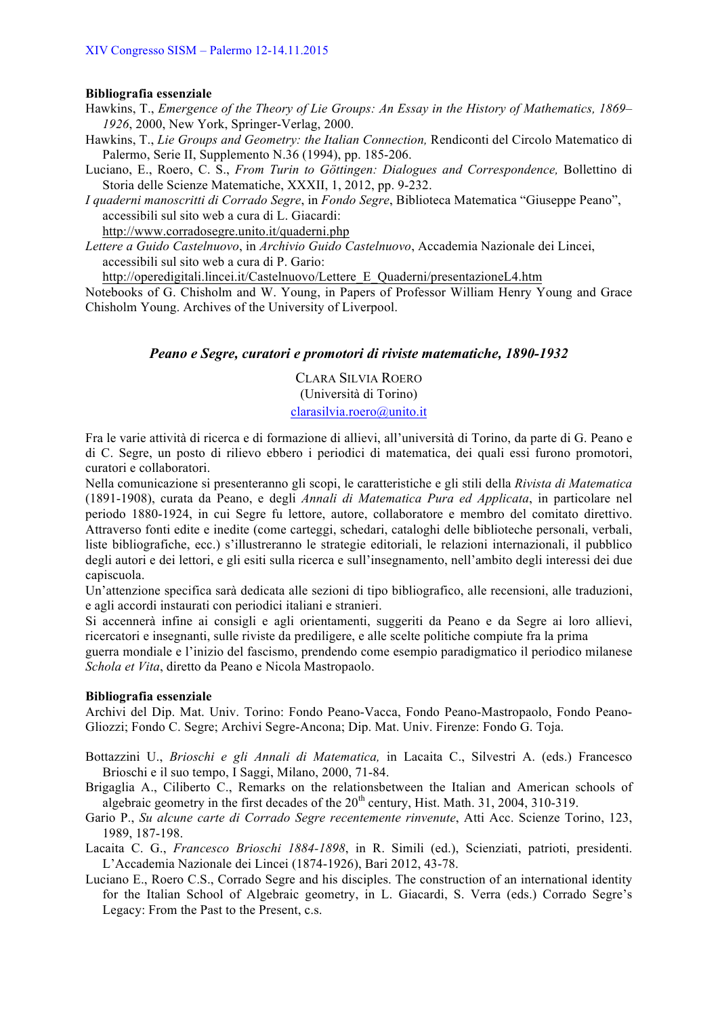#### **Bibliografia essenziale**

- Hawkins, T., *Emergence of the Theory of Lie Groups: An Essay in the History of Mathematics, 1869– 1926*, 2000, New York, Springer-Verlag, 2000.
- Hawkins, T., *Lie Groups and Geometry: the Italian Connection,* Rendiconti del Circolo Matematico di Palermo, Serie II, Supplemento N.36 (1994), pp. 185-206.
- Luciano, E., Roero, C. S., *From Turin to Göttingen: Dialogues and Correspondence,* Bollettino di Storia delle Scienze Matematiche, XXXII, 1, 2012, pp. 9-232.

*I quaderni manoscritti di Corrado Segre*, in *Fondo Segre*, Biblioteca Matematica "Giuseppe Peano", accessibili sul sito web a cura di L. Giacardi:

http://www.corradosegre.unito.it/quaderni.php

*Lettere a Guido Castelnuovo*, in *Archivio Guido Castelnuovo*, Accademia Nazionale dei Lincei, accessibili sul sito web a cura di P. Gario:

http://operedigitali.lincei.it/Castelnuovo/Lettere\_E\_Quaderni/presentazioneL4.htm

Notebooks of G. Chisholm and W. Young, in Papers of Professor William Henry Young and Grace Chisholm Young. Archives of the University of Liverpool.

# *Peano e Segre, curatori e promotori di riviste matematiche, 1890-1932*

CLARA SILVIA ROERO (Università di Torino)

# clarasilvia.roero@unito.it

Fra le varie attività di ricerca e di formazione di allievi, all'università di Torino, da parte di G. Peano e di C. Segre, un posto di rilievo ebbero i periodici di matematica, dei quali essi furono promotori, curatori e collaboratori.

Nella comunicazione si presenteranno gli scopi, le caratteristiche e gli stili della *Rivista di Matematica* (1891-1908), curata da Peano, e degli *Annali di Matematica Pura ed Applicata*, in particolare nel periodo 1880-1924, in cui Segre fu lettore, autore, collaboratore e membro del comitato direttivo. Attraverso fonti edite e inedite (come carteggi, schedari, cataloghi delle biblioteche personali, verbali, liste bibliografiche, ecc.) s'illustreranno le strategie editoriali, le relazioni internazionali, il pubblico degli autori e dei lettori, e gli esiti sulla ricerca e sull'insegnamento, nell'ambito degli interessi dei due capiscuola.

Un'attenzione specifica sarà dedicata alle sezioni di tipo bibliografico, alle recensioni, alle traduzioni, e agli accordi instaurati con periodici italiani e stranieri.

Si accennerà infine ai consigli e agli orientamenti, suggeriti da Peano e da Segre ai loro allievi, ricercatori e insegnanti, sulle riviste da prediligere, e alle scelte politiche compiute fra la prima

guerra mondiale e l'inizio del fascismo, prendendo come esempio paradigmatico il periodico milanese *Schola et Vita*, diretto da Peano e Nicola Mastropaolo.

# **Bibliografia essenziale**

Archivi del Dip. Mat. Univ. Torino: Fondo Peano-Vacca, Fondo Peano-Mastropaolo, Fondo Peano-Gliozzi; Fondo C. Segre; Archivi Segre-Ancona; Dip. Mat. Univ. Firenze: Fondo G. Toja.

- Bottazzini U., *Brioschi e gli Annali di Matematica,* in Lacaita C., Silvestri A. (eds.) Francesco Brioschi e il suo tempo, I Saggi, Milano, 2000, 71-84.
- Brigaglia A., Ciliberto C., Remarks on the relationsbetween the Italian and American schools of algebraic geometry in the first decades of the  $20<sup>th</sup>$  century, Hist. Math. 31, 2004, 310-319.
- Gario P., *Su alcune carte di Corrado Segre recentemente rinvenute*, Atti Acc. Scienze Torino, 123, 1989, 187-198.
- Lacaita C. G., *Francesco Brioschi 1884-1898*, in R. Simili (ed.), Scienziati, patrioti, presidenti. L'Accademia Nazionale dei Lincei (1874-1926), Bari 2012, 43-78.
- Luciano E., Roero C.S., Corrado Segre and his disciples. The construction of an international identity for the Italian School of Algebraic geometry, in L. Giacardi, S. Verra (eds.) Corrado Segre's Legacy: From the Past to the Present, c.s.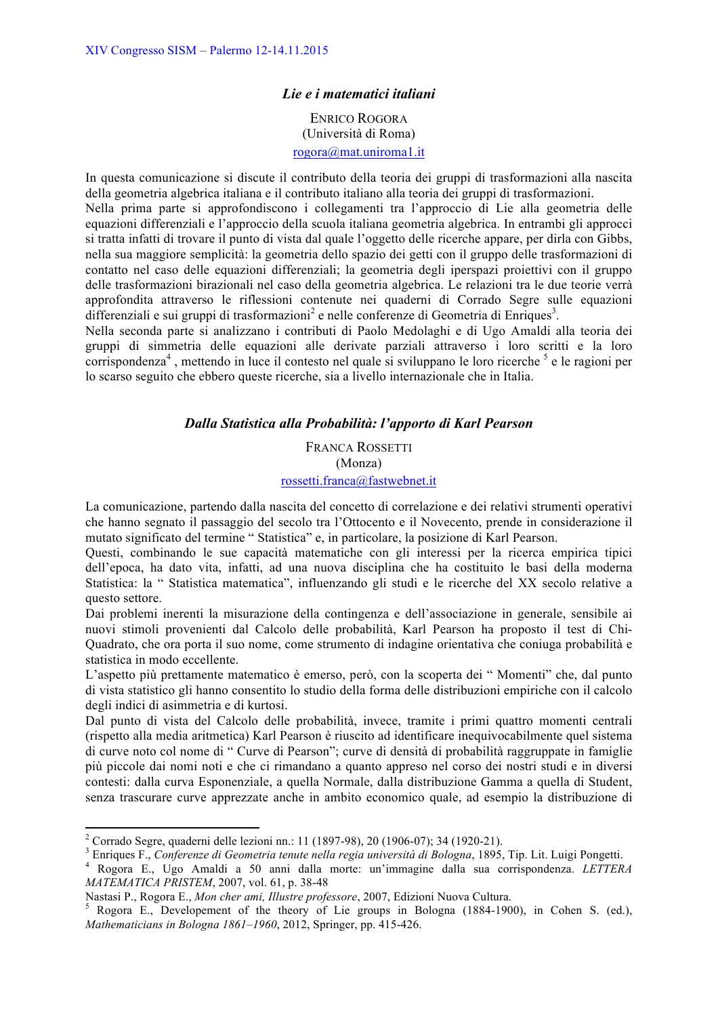# *Lie e i matematici italiani*

ENRICO ROGORA (Università di Roma) rogora@mat.uniroma1.it

In questa comunicazione si discute il contributo della teoria dei gruppi di trasformazioni alla nascita della geometria algebrica italiana e il contributo italiano alla teoria dei gruppi di trasformazioni.

Nella prima parte si approfondiscono i collegamenti tra l'approccio di Lie alla geometria delle equazioni differenziali e l'approccio della scuola italiana geometria algebrica. In entrambi gli approcci si tratta infatti di trovare il punto di vista dal quale l'oggetto delle ricerche appare, per dirla con Gibbs, nella sua maggiore semplicità: la geometria dello spazio dei getti con il gruppo delle trasformazioni di contatto nel caso delle equazioni differenziali; la geometria degli iperspazi proiettivi con il gruppo delle trasformazioni birazionali nel caso della geometria algebrica. Le relazioni tra le due teorie verrà approfondita attraverso le riflessioni contenute nei quaderni di Corrado Segre sulle equazioni  $\widehat{\text{differential}}$  e sui gruppi di trasformazioni<sup>2</sup> e nelle conferenze di Geometria di Enriques<sup>3</sup>.

Nella seconda parte si analizzano i contributi di Paolo Medolaghi e di Ugo Amaldi alla teoria dei gruppi di simmetria delle equazioni alle derivate parziali attraverso i loro scritti e la loro corrispondenza<sup>4</sup>, mettendo in luce il contesto nel quale si sviluppano le loro ricerche  $<sup>5</sup>$  e le ragioni per</sup> lo scarso seguito che ebbero queste ricerche, sia a livello internazionale che in Italia.

# *Dalla Statistica alla Probabilità: l'apporto di Karl Pearson*

FRANCA ROSSETTI

(Monza)

# rossetti.franca@fastwebnet.it

La comunicazione, partendo dalla nascita del concetto di correlazione e dei relativi strumenti operativi che hanno segnato il passaggio del secolo tra l'Ottocento e il Novecento, prende in considerazione il mutato significato del termine " Statistica" e, in particolare, la posizione di Karl Pearson.

Questi, combinando le sue capacità matematiche con gli interessi per la ricerca empirica tipici dell'epoca, ha dato vita, infatti, ad una nuova disciplina che ha costituito le basi della moderna Statistica: la " Statistica matematica", influenzando gli studi e le ricerche del XX secolo relative a questo settore.

Dai problemi inerenti la misurazione della contingenza e dell'associazione in generale, sensibile ai nuovi stimoli provenienti dal Calcolo delle probabilità, Karl Pearson ha proposto il test di Chi-Quadrato, che ora porta il suo nome, come strumento di indagine orientativa che coniuga probabilità e statistica in modo eccellente.

L'aspetto più prettamente matematico è emerso, però, con la scoperta dei " Momenti" che, dal punto di vista statistico gli hanno consentito lo studio della forma delle distribuzioni empiriche con il calcolo degli indici di asimmetria e di kurtosi.

Dal punto di vista del Calcolo delle probabilità, invece, tramite i primi quattro momenti centrali (rispetto alla media aritmetica) Karl Pearson è riuscito ad identificare inequivocabilmente quel sistema di curve noto col nome di " Curve di Pearson"; curve di densità di probabilità raggruppate in famiglie più piccole dai nomi noti e che ci rimandano a quanto appreso nel corso dei nostri studi e in diversi contesti: dalla curva Esponenziale, a quella Normale, dalla distribuzione Gamma a quella di Student, senza trascurare curve apprezzate anche in ambito economico quale, ad esempio la distribuzione di

<u> 1989 - Johann Stein, fransk politik (d. 1989)</u>

<sup>&</sup>lt;sup>2</sup> Corrado Segre, quaderni delle lezioni nn.: 11 (1897-98), 20 (1906-07); 34 (1920-21).<br><sup>3</sup> Enriques F., Conferenze di Geometria tenute nella regia università di Bologna, 1895, Tip. Lit. Luigi Pongetti.<br><sup>4</sup> Rogora E., Ug *MATEMATICA PRISTEM*, 2007, vol. 61, p. 38-48

Nastasi P., Rogora E., *Mon cher ami, Illustre professore*, 2007, Edizioni Nuova Cultura.<br><sup>5</sup> Rogora E., Developement of the theory of Lie groups in Bologna (1884-1900), in Cohen S. (ed.), *Mathematicians in Bologna 1861–1960*, 2012, Springer, pp. 415-426.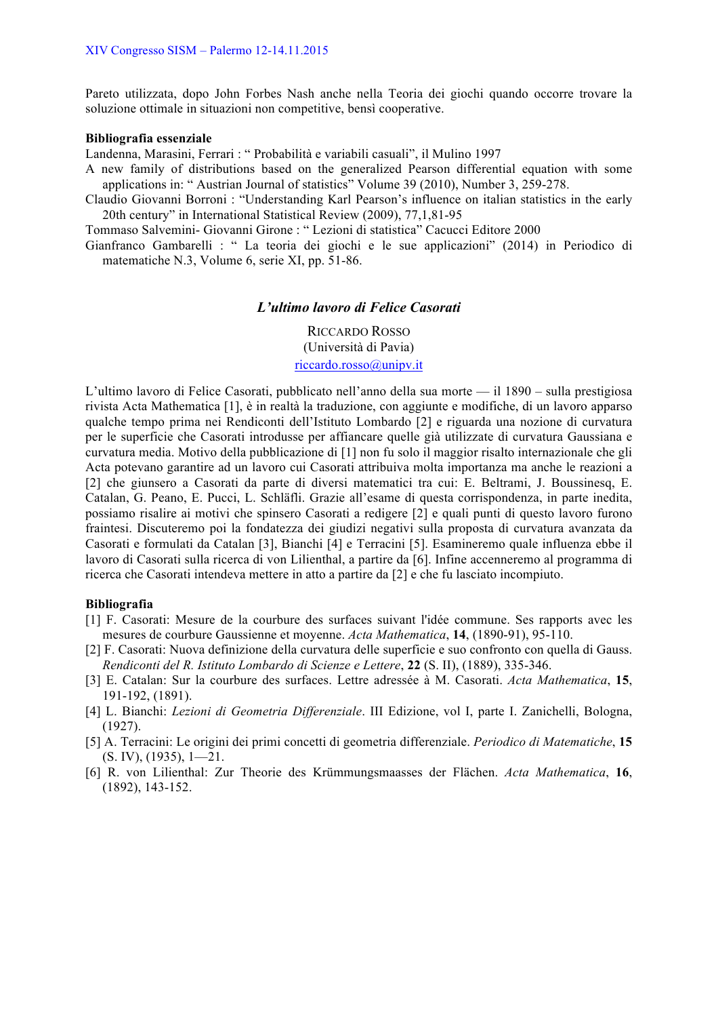Pareto utilizzata, dopo John Forbes Nash anche nella Teoria dei giochi quando occorre trovare la soluzione ottimale in situazioni non competitive, bensì cooperative.

#### **Bibliografia essenziale**

Landenna, Marasini, Ferrari : " Probabilità e variabili casuali", il Mulino 1997

A new family of distributions based on the generalized Pearson differential equation with some applications in: " Austrian Journal of statistics" Volume 39 (2010), Number 3, 259-278.

Claudio Giovanni Borroni : "Understanding Karl Pearson's influence on italian statistics in the early 20th century" in International Statistical Review (2009), 77,1,81-95

Tommaso Salvemini- Giovanni Girone : " Lezioni di statistica" Cacucci Editore 2000

Gianfranco Gambarelli : " La teoria dei giochi e le sue applicazioni" (2014) in Periodico di matematiche N.3, Volume 6, serie XI, pp. 51-86.

### *L'ultimo lavoro di Felice Casorati*

RICCARDO ROSSO (Università di Pavia) riccardo.rosso@unipv.it

L'ultimo lavoro di Felice Casorati, pubblicato nell'anno della sua morte — il 1890 – sulla prestigiosa rivista Acta Mathematica [1], è in realtà la traduzione, con aggiunte e modifiche, di un lavoro apparso qualche tempo prima nei Rendiconti dell'Istituto Lombardo [2] e riguarda una nozione di curvatura per le superficie che Casorati introdusse per affiancare quelle già utilizzate di curvatura Gaussiana e curvatura media. Motivo della pubblicazione di [1] non fu solo il maggior risalto internazionale che gli Acta potevano garantire ad un lavoro cui Casorati attribuiva molta importanza ma anche le reazioni a [2] che giunsero a Casorati da parte di diversi matematici tra cui: E. Beltrami, J. Boussinesq, E. Catalan, G. Peano, E. Pucci, L. Schläfli. Grazie all'esame di questa corrispondenza, in parte inedita, possiamo risalire ai motivi che spinsero Casorati a redigere [2] e quali punti di questo lavoro furono fraintesi. Discuteremo poi la fondatezza dei giudizi negativi sulla proposta di curvatura avanzata da Casorati e formulati da Catalan [3], Bianchi [4] e Terracini [5]. Esamineremo quale influenza ebbe il lavoro di Casorati sulla ricerca di von Lilienthal, a partire da [6]. Infine accenneremo al programma di ricerca che Casorati intendeva mettere in atto a partire da [2] e che fu lasciato incompiuto.

### **Bibliografia**

- [1] F. Casorati: Mesure de la courbure des surfaces suivant l'idée commune. Ses rapports avec les mesures de courbure Gaussienne et moyenne. *Acta Mathematica*, **14**, (1890-91), 95-110.
- [2] F. Casorati: Nuova definizione della curvatura delle superficie e suo confronto con quella di Gauss. *Rendiconti del R. Istituto Lombardo di Scienze e Lettere*, **22** (S. II), (1889), 335-346.
- [3] E. Catalan: Sur la courbure des surfaces. Lettre adressée à M. Casorati. *Acta Mathematica*, **15**, 191-192, (1891).
- [4] L. Bianchi: *Lezioni di Geometria Differenziale*. III Edizione, vol I, parte I. Zanichelli, Bologna, (1927).
- [5] A. Terracini: Le origini dei primi concetti di geometria differenziale. *Periodico di Matematiche*, **15** (S. IV), (1935), 1—21.
- [6] R. von Lilienthal: Zur Theorie des Krümmungsmaasses der Flächen. *Acta Mathematica*, **16**, (1892), 143-152.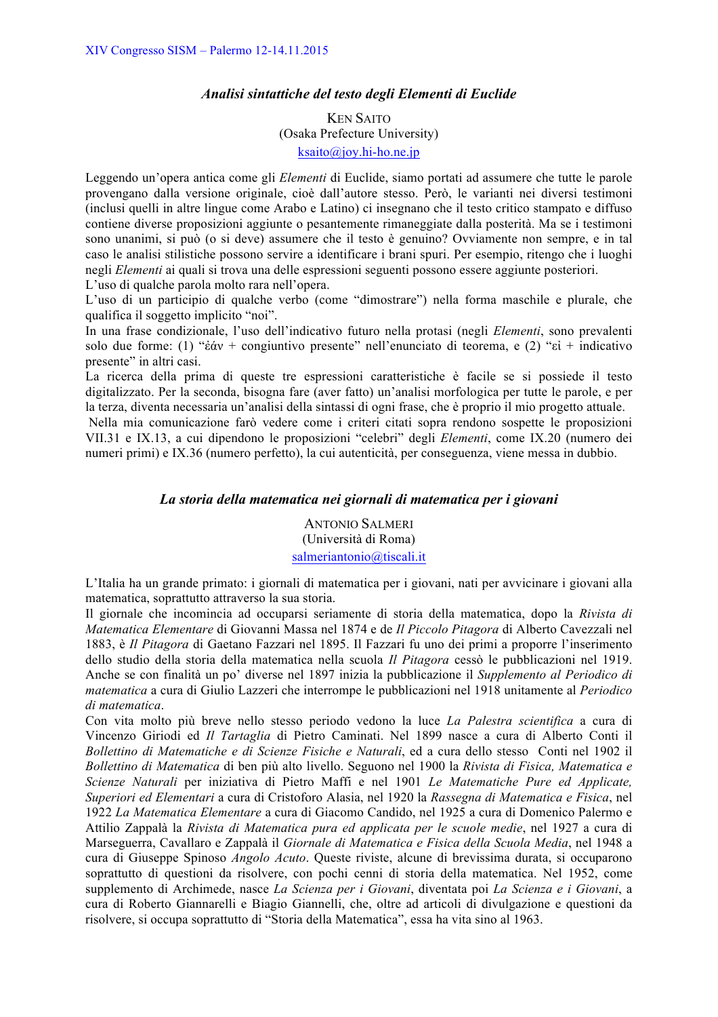### *Analisi sintattiche del testo degli Elementi di Euclide*

KEN SAITO (Osaka Prefecture University) ksaito@joy.hi-ho.ne.jp

Leggendo un'opera antica come gli *Elementi* di Euclide, siamo portati ad assumere che tutte le parole provengano dalla versione originale, cioè dall'autore stesso. Però, le varianti nei diversi testimoni (inclusi quelli in altre lingue come Arabo e Latino) ci insegnano che il testo critico stampato e diffuso contiene diverse proposizioni aggiunte o pesantemente rimaneggiate dalla posterità. Ma se i testimoni sono unanimi, si può (o si deve) assumere che il testo è genuino? Ovviamente non sempre, e in tal caso le analisi stilistiche possono servire a identificare i brani spuri. Per esempio, ritengo che i luoghi negli *Elementi* ai quali si trova una delle espressioni seguenti possono essere aggiunte posteriori. L'uso di qualche parola molto rara nell'opera.

L'uso di un participio di qualche verbo (come "dimostrare") nella forma maschile e plurale, che qualifica il soggetto implicito "noi".

In una frase condizionale, l'uso dell'indicativo futuro nella protasi (negli *Elementi*, sono prevalenti solo due forme: (1) "ἐάν + congiuntivo presente" nell'enunciato di teorema, e (2) "εἰ + indicativo presente" in altri casi.

La ricerca della prima di queste tre espressioni caratteristiche è facile se si possiede il testo digitalizzato. Per la seconda, bisogna fare (aver fatto) un'analisi morfologica per tutte le parole, e per la terza, diventa necessaria un'analisi della sintassi di ogni frase, che è proprio il mio progetto attuale.

Nella mia comunicazione farò vedere come i criteri citati sopra rendono sospette le proposizioni VII.31 e IX.13, a cui dipendono le proposizioni "celebri" degli *Elementi*, come IX.20 (numero dei numeri primi) e IX.36 (numero perfetto), la cui autenticità, per conseguenza, viene messa in dubbio.

# *La storia della matematica nei giornali di matematica per i giovani*

ANTONIO SALMERI (Università di Roma) salmeriantonio@tiscali.it

L'Italia ha un grande primato: i giornali di matematica per i giovani, nati per avvicinare i giovani alla matematica, soprattutto attraverso la sua storia.

Il giornale che incomincia ad occuparsi seriamente di storia della matematica, dopo la *Rivista di Matematica Elementare* di Giovanni Massa nel 1874 e de *Il Piccolo Pitagora* di Alberto Cavezzali nel 1883, è *Il Pitagora* di Gaetano Fazzari nel 1895. Il Fazzari fu uno dei primi a proporre l'inserimento dello studio della storia della matematica nella scuola *Il Pitagora* cessò le pubblicazioni nel 1919. Anche se con finalità un po' diverse nel 1897 inizia la pubblicazione il *Supplemento al Periodico di matematica* a cura di Giulio Lazzeri che interrompe le pubblicazioni nel 1918 unitamente al *Periodico di matematica*.

Con vita molto più breve nello stesso periodo vedono la luce *La Palestra scientifica* a cura di Vincenzo Giriodi ed *Il Tartaglia* di Pietro Caminati. Nel 1899 nasce a cura di Alberto Conti il *Bollettino di Matematiche e di Scienze Fisiche e Naturali*, ed a cura dello stesso Conti nel 1902 il *Bollettino di Matematica* di ben più alto livello. Seguono nel 1900 la *Rivista di Fisica, Matematica e Scienze Naturali* per iniziativa di Pietro Maffi e nel 1901 *Le Matematiche Pure ed Applicate, Superiori ed Elementari* a cura di Cristoforo Alasia, nel 1920 la *Rassegna di Matematica e Fisica*, nel 1922 *La Matematica Elementare* a cura di Giacomo Candido, nel 1925 a cura di Domenico Palermo e Attilio Zappalà la *Rivista di Matematica pura ed applicata per le scuole medie*, nel 1927 a cura di Marseguerra, Cavallaro e Zappalà il *Giornale di Matematica e Fisica della Scuola Media*, nel 1948 a cura di Giuseppe Spinoso *Angolo Acuto*. Queste riviste, alcune di brevissima durata, si occuparono soprattutto di questioni da risolvere, con pochi cenni di storia della matematica. Nel 1952, come supplemento di Archimede, nasce *La Scienza per i Giovani*, diventata poi *La Scienza e i Giovani*, a cura di Roberto Giannarelli e Biagio Giannelli, che, oltre ad articoli di divulgazione e questioni da risolvere, si occupa soprattutto di "Storia della Matematica", essa ha vita sino al 1963.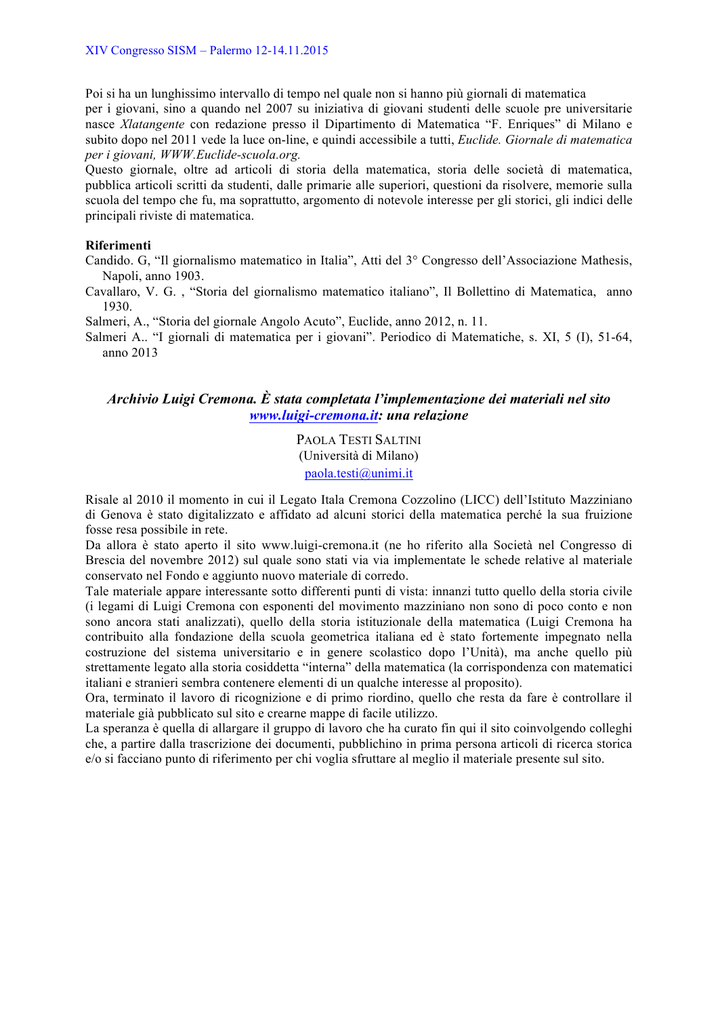Poi si ha un lunghissimo intervallo di tempo nel quale non si hanno più giornali di matematica per i giovani, sino a quando nel 2007 su iniziativa di giovani studenti delle scuole pre universitarie nasce *Xlatangente* con redazione presso il Dipartimento di Matematica "F. Enriques" di Milano e subito dopo nel 2011 vede la luce on-line, e quindi accessibile a tutti, *Euclide. Giornale di matematica per i giovani, WWW.Euclide-scuola.org.* 

Questo giornale, oltre ad articoli di storia della matematica, storia delle società di matematica, pubblica articoli scritti da studenti, dalle primarie alle superiori, questioni da risolvere, memorie sulla scuola del tempo che fu, ma soprattutto, argomento di notevole interesse per gli storici, gli indici delle principali riviste di matematica.

### **Riferimenti**

Candido. G, "Il giornalismo matematico in Italia", Atti del 3° Congresso dell'Associazione Mathesis, Napoli, anno 1903.

Cavallaro, V. G. , "Storia del giornalismo matematico italiano", Il Bollettino di Matematica, anno 1930.

Salmeri, A., "Storia del giornale Angolo Acuto", Euclide, anno 2012, n. 11.

Salmeri A.. "I giornali di matematica per i giovani". Periodico di Matematiche, s. XI, 5 (I), 51-64, anno 2013

# *Archivio Luigi Cremona. È stata completata l'implementazione dei materiali nel sito www.luigi-cremona.it: una relazione*

PAOLA TESTI SALTINI (Università di Milano) paola.testi@unimi.it

Risale al 2010 il momento in cui il Legato Itala Cremona Cozzolino (LICC) dell'Istituto Mazziniano di Genova è stato digitalizzato e affidato ad alcuni storici della matematica perché la sua fruizione fosse resa possibile in rete.

Da allora è stato aperto il sito www.luigi-cremona.it (ne ho riferito alla Società nel Congresso di Brescia del novembre 2012) sul quale sono stati via via implementate le schede relative al materiale conservato nel Fondo e aggiunto nuovo materiale di corredo.

Tale materiale appare interessante sotto differenti punti di vista: innanzi tutto quello della storia civile (i legami di Luigi Cremona con esponenti del movimento mazziniano non sono di poco conto e non sono ancora stati analizzati), quello della storia istituzionale della matematica (Luigi Cremona ha contribuito alla fondazione della scuola geometrica italiana ed è stato fortemente impegnato nella costruzione del sistema universitario e in genere scolastico dopo l'Unità), ma anche quello più strettamente legato alla storia cosiddetta "interna" della matematica (la corrispondenza con matematici italiani e stranieri sembra contenere elementi di un qualche interesse al proposito).

Ora, terminato il lavoro di ricognizione e di primo riordino, quello che resta da fare è controllare il materiale già pubblicato sul sito e crearne mappe di facile utilizzo.

La speranza è quella di allargare il gruppo di lavoro che ha curato fin qui il sito coinvolgendo colleghi che, a partire dalla trascrizione dei documenti, pubblichino in prima persona articoli di ricerca storica e/o si facciano punto di riferimento per chi voglia sfruttare al meglio il materiale presente sul sito.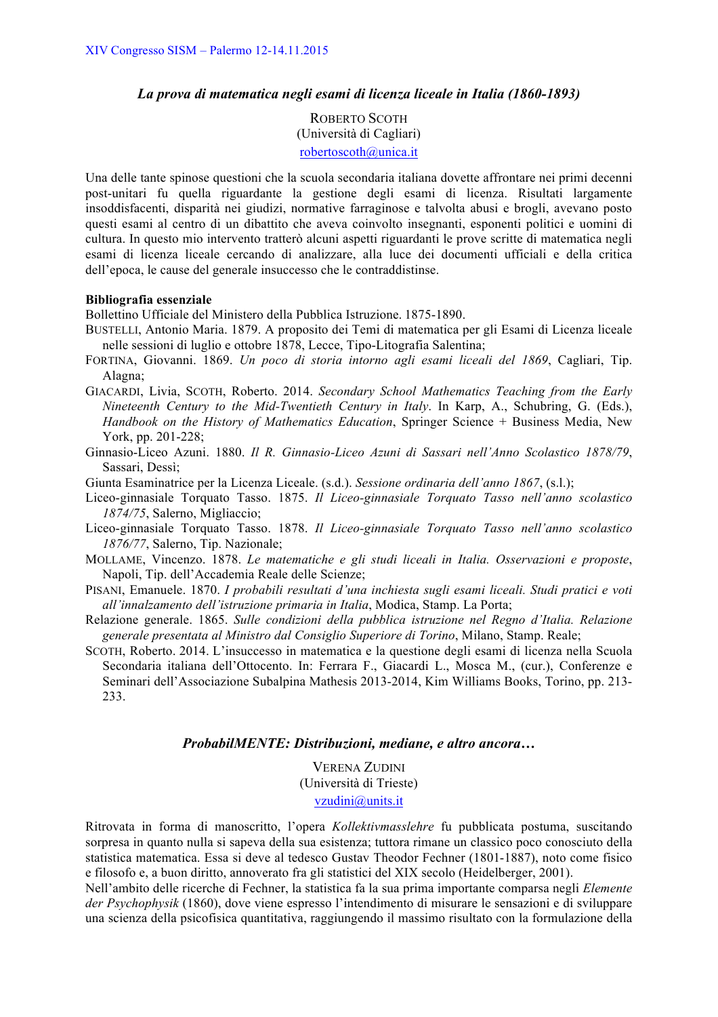### *La prova di matematica negli esami di licenza liceale in Italia (1860-1893)*

ROBERTO SCOTH (Università di Cagliari) robertoscoth@unica.it

Una delle tante spinose questioni che la scuola secondaria italiana dovette affrontare nei primi decenni post-unitari fu quella riguardante la gestione degli esami di licenza. Risultati largamente insoddisfacenti, disparità nei giudizi, normative farraginose e talvolta abusi e brogli, avevano posto questi esami al centro di un dibattito che aveva coinvolto insegnanti, esponenti politici e uomini di cultura. In questo mio intervento tratterò alcuni aspetti riguardanti le prove scritte di matematica negli esami di licenza liceale cercando di analizzare, alla luce dei documenti ufficiali e della critica dell'epoca, le cause del generale insuccesso che le contraddistinse.

#### **Bibliografia essenziale**

Bollettino Ufficiale del Ministero della Pubblica Istruzione. 1875-1890.

- BUSTELLI, Antonio Maria. 1879. A proposito dei Temi di matematica per gli Esami di Licenza liceale nelle sessioni di luglio e ottobre 1878, Lecce, Tipo-Litografia Salentina;
- FORTINA, Giovanni. 1869. *Un poco di storia intorno agli esami liceali del 1869*, Cagliari, Tip. Alagna;
- GIACARDI, Livia, SCOTH, Roberto. 2014. *Secondary School Mathematics Teaching from the Early Nineteenth Century to the Mid-Twentieth Century in Italy*. In Karp, A., Schubring, G. (Eds.), *Handbook on the History of Mathematics Education*, Springer Science + Business Media, New York, pp. 201-228;
- Ginnasio-Liceo Azuni. 1880. *Il R. Ginnasio-Liceo Azuni di Sassari nell'Anno Scolastico 1878/79*, Sassari, Dessì;
- Giunta Esaminatrice per la Licenza Liceale. (s.d.). *Sessione ordinaria dell'anno 1867*, (s.l.);
- Liceo-ginnasiale Torquato Tasso. 1875. *Il Liceo-ginnasiale Torquato Tasso nell'anno scolastico 1874/75*, Salerno, Migliaccio;
- Liceo-ginnasiale Torquato Tasso. 1878. *Il Liceo-ginnasiale Torquato Tasso nell'anno scolastico 1876/77*, Salerno, Tip. Nazionale;
- MOLLAME, Vincenzo. 1878. *Le matematiche e gli studi liceali in Italia. Osservazioni e proposte*, Napoli, Tip. dell'Accademia Reale delle Scienze;
- PISANI, Emanuele. 1870. *I probabili resultati d'una inchiesta sugli esami liceali. Studi pratici e voti all'innalzamento dell'istruzione primaria in Italia*, Modica, Stamp. La Porta;
- Relazione generale. 1865. *Sulle condizioni della pubblica istruzione nel Regno d'Italia. Relazione generale presentata al Ministro dal Consiglio Superiore di Torino*, Milano, Stamp. Reale;
- SCOTH, Roberto. 2014. L'insuccesso in matematica e la questione degli esami di licenza nella Scuola Secondaria italiana dell'Ottocento. In: Ferrara F., Giacardi L., Mosca M., (cur.), Conferenze e Seminari dell'Associazione Subalpina Mathesis 2013-2014, Kim Williams Books, Torino, pp. 213- 233.

#### *ProbabilMENTE: Distribuzioni, mediane, e altro ancora…*

VERENA ZUDINI (Università di Trieste) vzudini@units.it

Ritrovata in forma di manoscritto, l'opera *Kollektivmasslehre* fu pubblicata postuma, suscitando sorpresa in quanto nulla si sapeva della sua esistenza; tuttora rimane un classico poco conosciuto della statistica matematica. Essa si deve al tedesco Gustav Theodor Fechner (1801-1887), noto come fisico e filosofo e, a buon diritto, annoverato fra gli statistici del XIX secolo (Heidelberger, 2001).

Nell'ambito delle ricerche di Fechner, la statistica fa la sua prima importante comparsa negli *Elemente der Psychophysik* (1860), dove viene espresso l'intendimento di misurare le sensazioni e di sviluppare una scienza della psicofisica quantitativa, raggiungendo il massimo risultato con la formulazione della